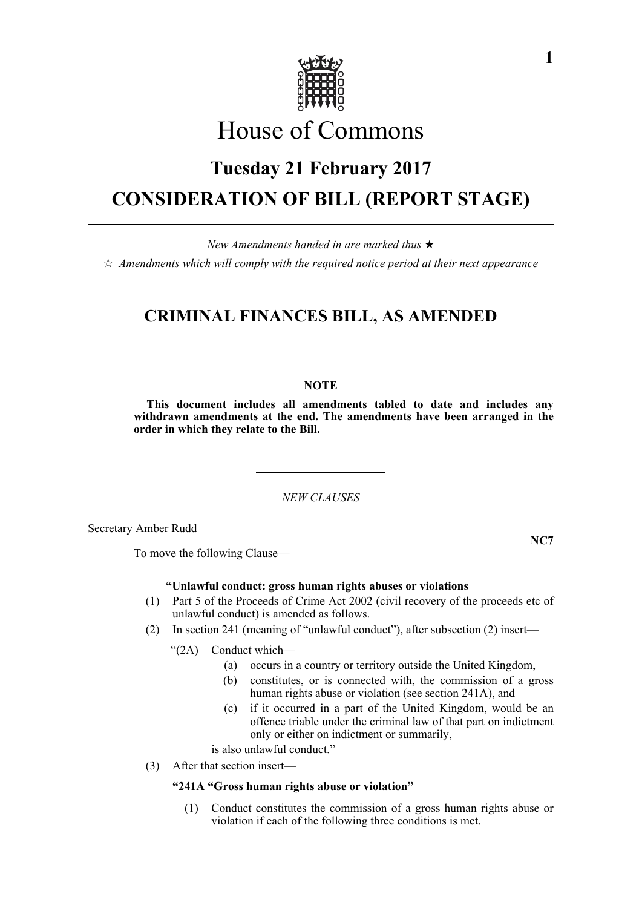

# House of Commons

# **Tuesday 21 February 2017 CONSIDERATION OF BILL (REPORT STAGE)**

*New Amendments handed in are marked thus* 

*Amendments which will comply with the required notice period at their next appearance*

### **CRIMINAL FINANCES BILL, AS AMENDED**

#### **NOTE**

**This document includes all amendments tabled to date and includes any withdrawn amendments at the end. The amendments have been arranged in the order in which they relate to the Bill.**

*NEW CLAUSES*

Secretary Amber Rudd

To move the following Clause—

#### **"Unlawful conduct: gross human rights abuses or violations**

- (1) Part 5 of the Proceeds of Crime Act 2002 (civil recovery of the proceeds etc of unlawful conduct) is amended as follows.
- (2) In section 241 (meaning of "unlawful conduct"), after subsection (2) insert—

"(2A) Conduct which—

- (a) occurs in a country or territory outside the United Kingdom,
- (b) constitutes, or is connected with, the commission of a gross human rights abuse or violation (see section 241A), and
- (c) if it occurred in a part of the United Kingdom, would be an offence triable under the criminal law of that part on indictment only or either on indictment or summarily,

is also unlawful conduct."

(3) After that section insert—

#### **"241A "Gross human rights abuse or violation"**

(1) Conduct constitutes the commission of a gross human rights abuse or violation if each of the following three conditions is met.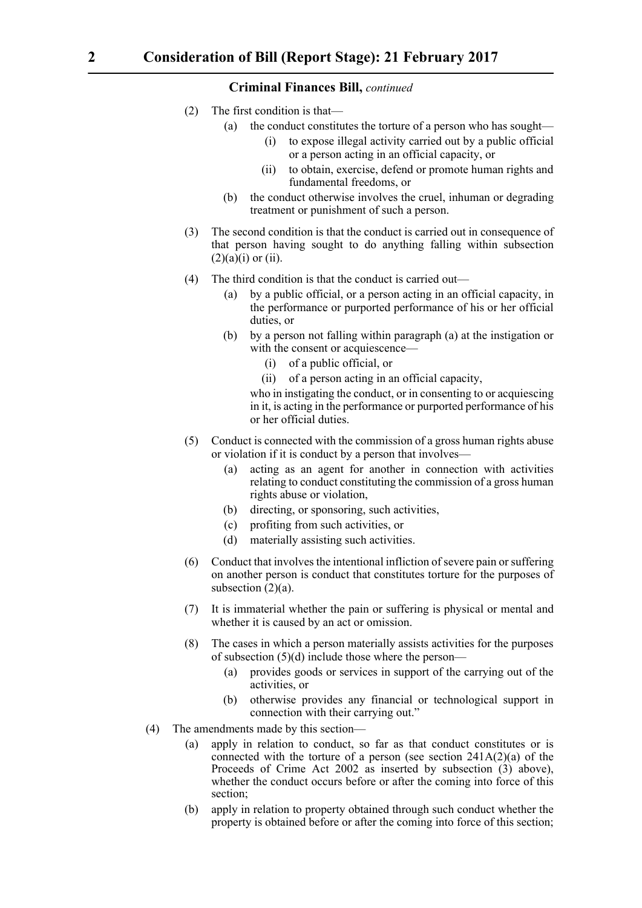- (2) The first condition is that—
	- (a) the conduct constitutes the torture of a person who has sought—
		- (i) to expose illegal activity carried out by a public official or a person acting in an official capacity, or
		- (ii) to obtain, exercise, defend or promote human rights and fundamental freedoms, or
	- (b) the conduct otherwise involves the cruel, inhuman or degrading treatment or punishment of such a person.
- (3) The second condition is that the conduct is carried out in consequence of that person having sought to do anything falling within subsection  $(2)(a)(i)$  or  $(ii)$ .
- (4) The third condition is that the conduct is carried out—
	- (a) by a public official, or a person acting in an official capacity, in the performance or purported performance of his or her official duties, or
	- (b) by a person not falling within paragraph (a) at the instigation or with the consent or acquiescence—
		- (i) of a public official, or
		- (ii) of a person acting in an official capacity,

who in instigating the conduct, or in consenting to or acquiescing in it, is acting in the performance or purported performance of his or her official duties.

- (5) Conduct is connected with the commission of a gross human rights abuse or violation if it is conduct by a person that involves—
	- (a) acting as an agent for another in connection with activities relating to conduct constituting the commission of a gross human rights abuse or violation,
	- (b) directing, or sponsoring, such activities,
	- (c) profiting from such activities, or
	- (d) materially assisting such activities.
- (6) Conduct that involves the intentional infliction of severe pain or suffering on another person is conduct that constitutes torture for the purposes of subsection  $(2)(a)$ .
- (7) It is immaterial whether the pain or suffering is physical or mental and whether it is caused by an act or omission.
- (8) The cases in which a person materially assists activities for the purposes of subsection (5)(d) include those where the person—
	- (a) provides goods or services in support of the carrying out of the activities, or
	- (b) otherwise provides any financial or technological support in connection with their carrying out."
- (4) The amendments made by this section—
	- (a) apply in relation to conduct, so far as that conduct constitutes or is connected with the torture of a person (see section 241A(2)(a) of the Proceeds of Crime Act 2002 as inserted by subsection (3) above), whether the conduct occurs before or after the coming into force of this section;
	- (b) apply in relation to property obtained through such conduct whether the property is obtained before or after the coming into force of this section;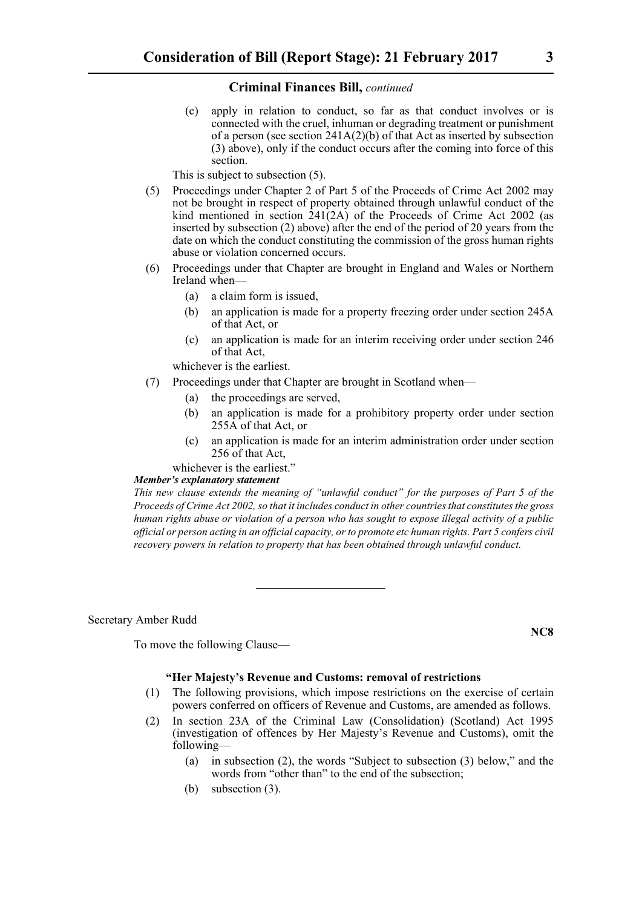(c) apply in relation to conduct, so far as that conduct involves or is connected with the cruel, inhuman or degrading treatment or punishment of a person (see section 241A(2)(b) of that Act as inserted by subsection (3) above), only if the conduct occurs after the coming into force of this section.

This is subject to subsection (5).

- (5) Proceedings under Chapter 2 of Part 5 of the Proceeds of Crime Act 2002 may not be brought in respect of property obtained through unlawful conduct of the kind mentioned in section  $241(2A)$  of the Proceeds of Crime Act 2002 (as inserted by subsection (2) above) after the end of the period of 20 years from the date on which the conduct constituting the commission of the gross human rights abuse or violation concerned occurs.
- (6) Proceedings under that Chapter are brought in England and Wales or Northern Ireland when—
	- (a) a claim form is issued,
	- (b) an application is made for a property freezing order under section 245A of that Act, or
	- (c) an application is made for an interim receiving order under section 246 of that Act,

whichever is the earliest.

- (7) Proceedings under that Chapter are brought in Scotland when—
	- (a) the proceedings are served,
	- (b) an application is made for a prohibitory property order under section 255A of that Act, or
	- (c) an application is made for an interim administration order under section 256 of that Act,

whichever is the earliest."

#### *Member's explanatory statement*

*This new clause extends the meaning of "unlawful conduct" for the purposes of Part 5 of the Proceeds of Crime Act 2002, so that it includes conduct in other countries that constitutes the gross human rights abuse or violation of a person who has sought to expose illegal activity of a public official or person acting in an official capacity, or to promote etc human rights. Part 5 confers civil recovery powers in relation to property that has been obtained through unlawful conduct.* 

Secretary Amber Rudd

To move the following Clause—

#### **"Her Majesty's Revenue and Customs: removal of restrictions**

- (1) The following provisions, which impose restrictions on the exercise of certain powers conferred on officers of Revenue and Customs, are amended as follows.
- (2) In section 23A of the Criminal Law (Consolidation) (Scotland) Act 1995 (investigation of offences by Her Majesty's Revenue and Customs), omit the following—
	- (a) in subsection (2), the words "Subject to subsection (3) below," and the words from "other than" to the end of the subsection:
	- (b) subsection (3).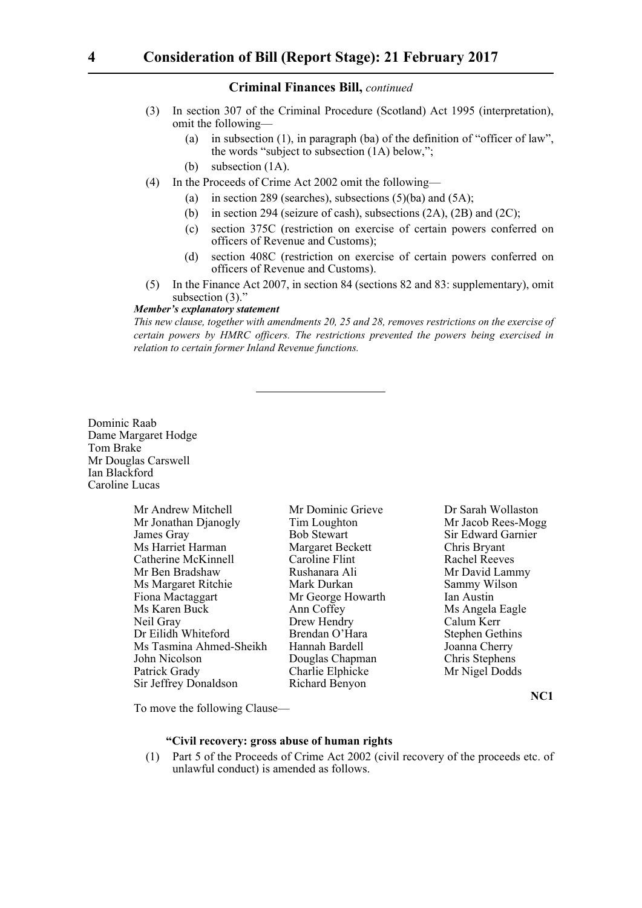- (3) In section 307 of the Criminal Procedure (Scotland) Act 1995 (interpretation), omit the following—
	- (a) in subsection (1), in paragraph (ba) of the definition of "officer of law", the words "subject to subsection (1A) below,";
	- (b) subsection (1A).
- (4) In the Proceeds of Crime Act 2002 omit the following—
	- (a) in section 289 (searches), subsections  $(5)(ba)$  and  $(5A)$ ;
	- (b) in section 294 (seizure of cash), subsections (2A), (2B) and (2C);
	- (c) section 375C (restriction on exercise of certain powers conferred on officers of Revenue and Customs);
	- (d) section 408C (restriction on exercise of certain powers conferred on officers of Revenue and Customs).
- (5) In the Finance Act 2007, in section 84 (sections 82 and 83: supplementary), omit subsection (3)."

#### *Member's explanatory statement*

*This new clause, together with amendments 20, 25 and 28, removes restrictions on the exercise of certain powers by HMRC officers. The restrictions prevented the powers being exercised in relation to certain former Inland Revenue functions.*

Dominic Raab Dame Margaret Hodge Tom Brake Mr Douglas Carswell Ian Blackford Caroline Lucas

| Mr Andrew Mitchell      |
|-------------------------|
| Mr Jonathan Djanogly    |
| James Gray              |
| Ms Harriet Harman       |
| Catherine McKinnell     |
| Mr Ben Bradshaw         |
| Ms Margaret Ritchie     |
| Fiona Mactaggart        |
| Ms Karen Buck           |
| Neil Gray               |
| Dr Eilidh Whiteford     |
| Ms Tasmina Ahmed-Sheikh |
| John Nicolson           |
| Patrick Grady           |
| Sir Jeffrey Donaldson   |

Tim Loughton Mr Jacob Rees-Mogg **James Bob Stewart Sir Edward Garnier** Margaret Beckett Chris Bryant Caroline Flint Rachel Reeves Rushanara Ali Mr David Lammy Mark Durkan Sammy Wilson Mr George Howarth Ian Austin Ann Coffey Ms Angela Eagle<br>Drew Hendry Calum Kerr Drew Hendry Calum Kerr<br>Brendan O'Hara Stephen Get Hannah Bardell Joanna Cherry Douglas Chapman Chris Stephens Charlie Elphicke Mr Nigel Dodds Richard Benyon

Mitchell Mr Dominic Grieve Dr Sarah Wollaston Stephen Gethins

**NC1**

To move the following Clause—

#### **"Civil recovery: gross abuse of human rights**

(1) Part 5 of the Proceeds of Crime Act 2002 (civil recovery of the proceeds etc. of unlawful conduct) is amended as follows.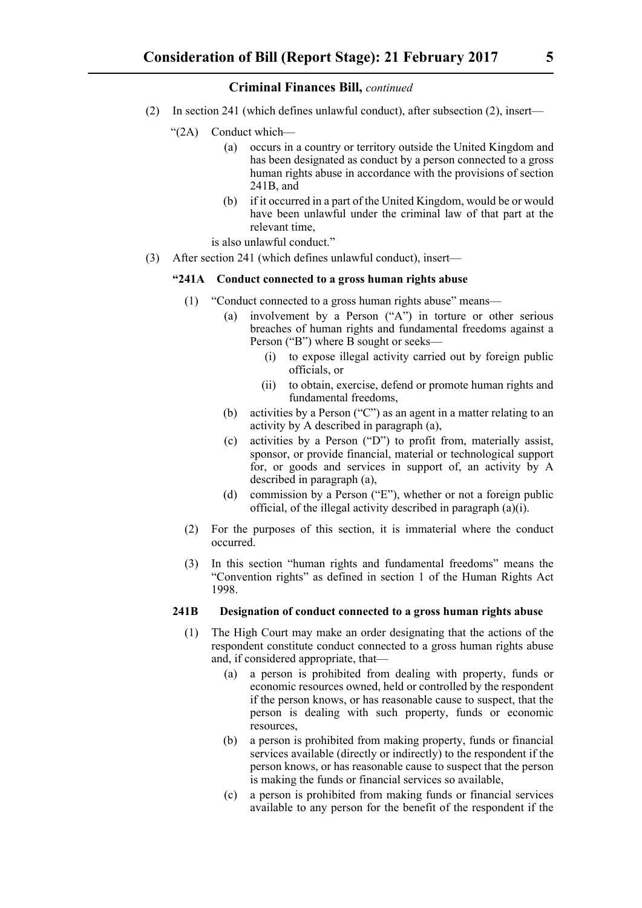- (2) In section 241 (which defines unlawful conduct), after subsection (2), insert—
	- "(2A) Conduct which—
		- (a) occurs in a country or territory outside the United Kingdom and has been designated as conduct by a person connected to a gross human rights abuse in accordance with the provisions of section 241B, and
		- (b) if it occurred in a part of the United Kingdom, would be or would have been unlawful under the criminal law of that part at the relevant time,

is also unlawful conduct."

(3) After section 241 (which defines unlawful conduct), insert—

#### **"241A Conduct connected to a gross human rights abuse**

- (1) "Conduct connected to a gross human rights abuse" means—
	- (a) involvement by a Person ("A") in torture or other serious breaches of human rights and fundamental freedoms against a Person ("B") where B sought or seeks—
		- (i) to expose illegal activity carried out by foreign public officials, or
		- (ii) to obtain, exercise, defend or promote human rights and fundamental freedoms,
	- (b) activities by a Person ("C") as an agent in a matter relating to an activity by A described in paragraph (a),
	- (c) activities by a Person ("D") to profit from, materially assist, sponsor, or provide financial, material or technological support for, or goods and services in support of, an activity by A described in paragraph (a),
	- (d) commission by a Person ("E"), whether or not a foreign public official, of the illegal activity described in paragraph (a)(i).
- (2) For the purposes of this section, it is immaterial where the conduct occurred.
- (3) In this section "human rights and fundamental freedoms" means the "Convention rights" as defined in section 1 of the Human Rights Act 1998.

#### **241B Designation of conduct connected to a gross human rights abuse**

- (1) The High Court may make an order designating that the actions of the respondent constitute conduct connected to a gross human rights abuse and, if considered appropriate, that—
	- (a) a person is prohibited from dealing with property, funds or economic resources owned, held or controlled by the respondent if the person knows, or has reasonable cause to suspect, that the person is dealing with such property, funds or economic resources,
	- (b) a person is prohibited from making property, funds or financial services available (directly or indirectly) to the respondent if the person knows, or has reasonable cause to suspect that the person is making the funds or financial services so available,
	- (c) a person is prohibited from making funds or financial services available to any person for the benefit of the respondent if the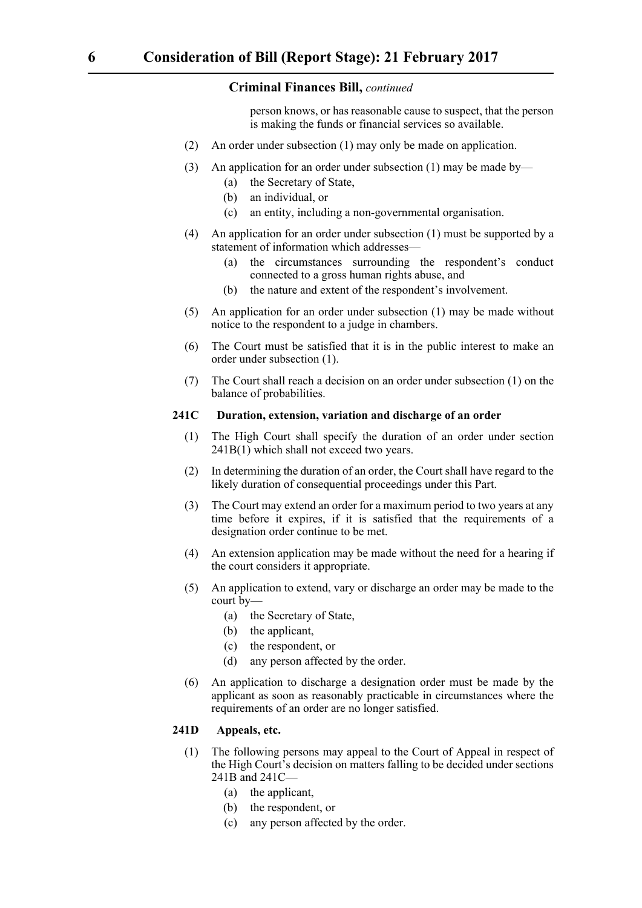person knows, or has reasonable cause to suspect, that the person is making the funds or financial services so available.

- (2) An order under subsection (1) may only be made on application.
- (3) An application for an order under subsection (1) may be made by—
	- (a) the Secretary of State,
	- (b) an individual, or
	- (c) an entity, including a non-governmental organisation.
- (4) An application for an order under subsection (1) must be supported by a statement of information which addresses—
	- (a) the circumstances surrounding the respondent's conduct connected to a gross human rights abuse, and
	- (b) the nature and extent of the respondent's involvement.
- (5) An application for an order under subsection (1) may be made without notice to the respondent to a judge in chambers.
- (6) The Court must be satisfied that it is in the public interest to make an order under subsection (1).
- (7) The Court shall reach a decision on an order under subsection (1) on the balance of probabilities.

#### **241C Duration, extension, variation and discharge of an order**

- (1) The High Court shall specify the duration of an order under section 241B(1) which shall not exceed two years.
- (2) In determining the duration of an order, the Court shall have regard to the likely duration of consequential proceedings under this Part.
- (3) The Court may extend an order for a maximum period to two years at any time before it expires, if it is satisfied that the requirements of a designation order continue to be met.
- (4) An extension application may be made without the need for a hearing if the court considers it appropriate.
- (5) An application to extend, vary or discharge an order may be made to the court by—
	- (a) the Secretary of State,
	- (b) the applicant,
	- (c) the respondent, or
	- (d) any person affected by the order.
- (6) An application to discharge a designation order must be made by the applicant as soon as reasonably practicable in circumstances where the requirements of an order are no longer satisfied.

#### **241D Appeals, etc.**

- (1) The following persons may appeal to the Court of Appeal in respect of the High Court's decision on matters falling to be decided under sections 241B and 241C—
	- (a) the applicant,
	- (b) the respondent, or
	- (c) any person affected by the order.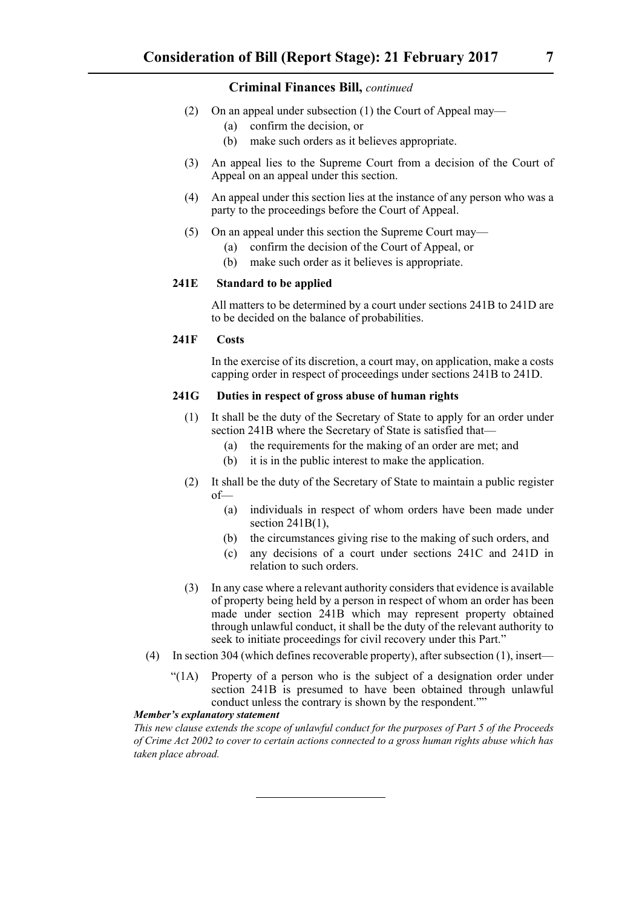- (2) On an appeal under subsection (1) the Court of Appeal may—
	- (a) confirm the decision, or
	- (b) make such orders as it believes appropriate.
- (3) An appeal lies to the Supreme Court from a decision of the Court of Appeal on an appeal under this section.
- (4) An appeal under this section lies at the instance of any person who was a party to the proceedings before the Court of Appeal.
- (5) On an appeal under this section the Supreme Court may—
	- (a) confirm the decision of the Court of Appeal, or
	- (b) make such order as it believes is appropriate.

#### **241E Standard to be applied**

All matters to be determined by a court under sections 241B to 241D are to be decided on the balance of probabilities.

#### **241F Costs**

In the exercise of its discretion, a court may, on application, make a costs capping order in respect of proceedings under sections 241B to 241D.

#### **241G Duties in respect of gross abuse of human rights**

- (1) It shall be the duty of the Secretary of State to apply for an order under section 241B where the Secretary of State is satisfied that—
	- (a) the requirements for the making of an order are met; and
	- (b) it is in the public interest to make the application.
- (2) It shall be the duty of the Secretary of State to maintain a public register of—
	- (a) individuals in respect of whom orders have been made under section  $241B(1)$ ,
	- (b) the circumstances giving rise to the making of such orders, and
	- (c) any decisions of a court under sections 241C and 241D in relation to such orders.
- (3) In any case where a relevant authority considers that evidence is available of property being held by a person in respect of whom an order has been made under section 241B which may represent property obtained through unlawful conduct, it shall be the duty of the relevant authority to seek to initiate proceedings for civil recovery under this Part."
- (4) In section 304 (which defines recoverable property), after subsection (1), insert—
	- "(1A) Property of a person who is the subject of a designation order under section 241B is presumed to have been obtained through unlawful conduct unless the contrary is shown by the respondent.""

#### *Member's explanatory statement*

*This new clause extends the scope of unlawful conduct for the purposes of Part 5 of the Proceeds of Crime Act 2002 to cover to certain actions connected to a gross human rights abuse which has taken place abroad.*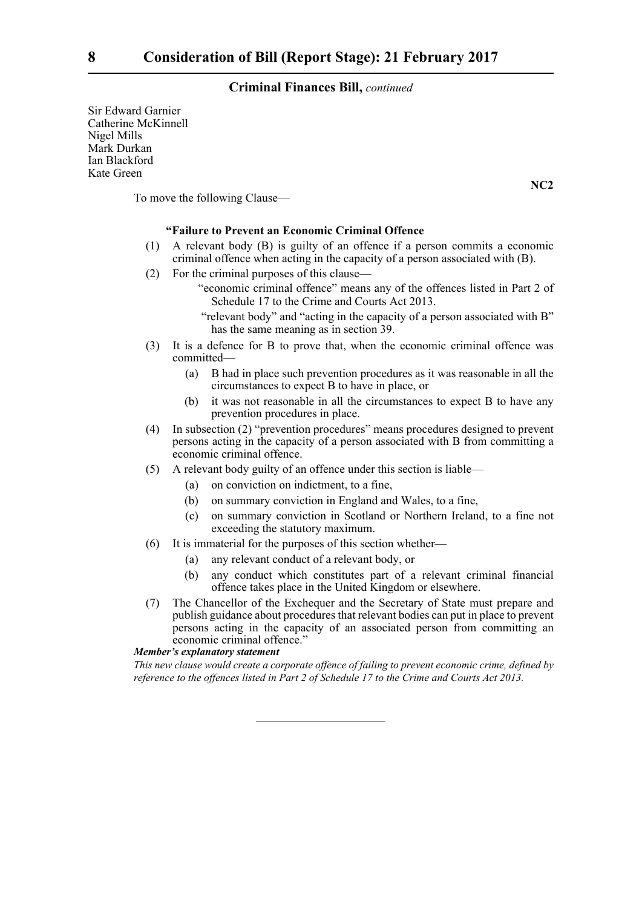Sir Edward Garnier Catherine McKinnell Nigel Mills Mark Durkan Ian Blackford Kate Green

To move the following Clause—

#### **"Failure to Prevent an Economic Criminal Offence**

- (1) A relevant body (B) is guilty of an offence if a person commits a economic criminal offence when acting in the capacity of a person associated with (B).
- (2) For the criminal purposes of this clause—
	- "economic criminal offence" means any of the offences listed in Part 2 of Schedule 17 to the Crime and Courts Act 2013.
	- "relevant body" and "acting in the capacity of a person associated with B" has the same meaning as in section 39.
- (3) It is a defence for B to prove that, when the economic criminal offence was committed—
	- (a) B had in place such prevention procedures as it was reasonable in all the circumstances to expect B to have in place, or
	- (b) it was not reasonable in all the circumstances to expect B to have any prevention procedures in place.
- (4) In subsection (2) "prevention procedures" means procedures designed to prevent persons acting in the capacity of a person associated with B from committing a economic criminal offence.
- (5) A relevant body guilty of an offence under this section is liable—
	- (a) on conviction on indictment, to a fine,
	- (b) on summary conviction in England and Wales, to a fine,
	- (c) on summary conviction in Scotland or Northern Ireland, to a fine not exceeding the statutory maximum.
- (6) It is immaterial for the purposes of this section whether—
	- (a) any relevant conduct of a relevant body, or
	- (b) any conduct which constitutes part of a relevant criminal financial offence takes place in the United Kingdom or elsewhere.
- (7) The Chancellor of the Exchequer and the Secretary of State must prepare and publish guidance about procedures that relevant bodies can put in place to prevent persons acting in the capacity of an associated person from committing an economic criminal offence."

#### *Member's explanatory statement*

*This new clause would create a corporate offence of failing to prevent economic crime, defined by reference to the offences listed in Part 2 of Schedule 17 to the Crime and Courts Act 2013.*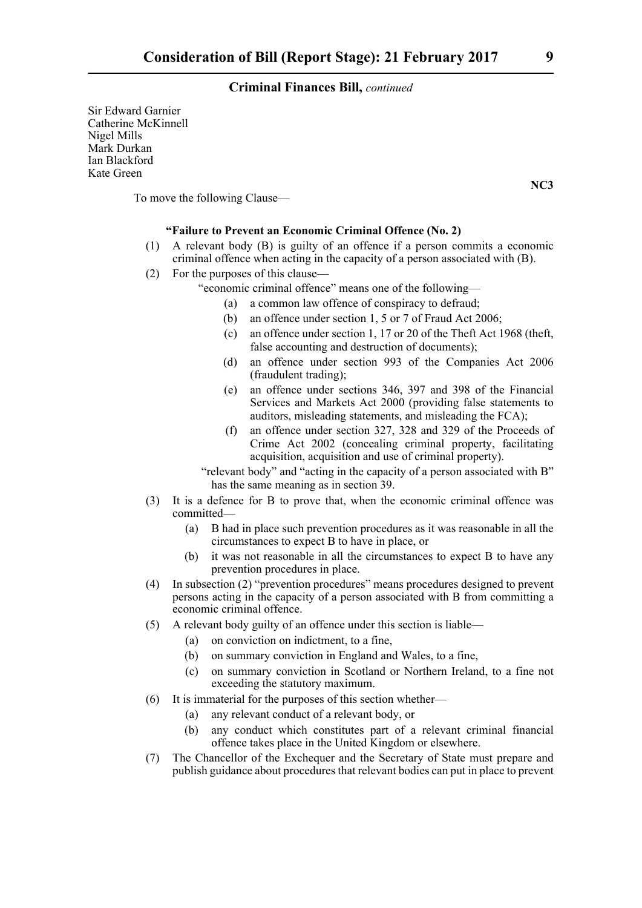Sir Edward Garnier Catherine McKinnell Nigel Mills Mark Durkan Ian Blackford Kate Green

To move the following Clause—

#### **"Failure to Prevent an Economic Criminal Offence (No. 2)**

- (1) A relevant body (B) is guilty of an offence if a person commits a economic criminal offence when acting in the capacity of a person associated with (B).
- (2) For the purposes of this clause—
	- "economic criminal offence" means one of the following—
		- (a) a common law offence of conspiracy to defraud;
		- (b) an offence under section 1, 5 or 7 of Fraud Act 2006;
		- (c) an offence under section 1, 17 or 20 of the Theft Act 1968 (theft, false accounting and destruction of documents);
		- (d) an offence under section 993 of the Companies Act 2006 (fraudulent trading);
		- (e) an offence under sections 346, 397 and 398 of the Financial Services and Markets Act 2000 (providing false statements to auditors, misleading statements, and misleading the FCA);
		- (f) an offence under section 327, 328 and 329 of the Proceeds of Crime Act 2002 (concealing criminal property, facilitating acquisition, acquisition and use of criminal property).
	- "relevant body" and "acting in the capacity of a person associated with B" has the same meaning as in section 39.
- (3) It is a defence for B to prove that, when the economic criminal offence was committed—
	- (a) B had in place such prevention procedures as it was reasonable in all the circumstances to expect B to have in place, or
	- (b) it was not reasonable in all the circumstances to expect B to have any prevention procedures in place.
- (4) In subsection (2) "prevention procedures" means procedures designed to prevent persons acting in the capacity of a person associated with B from committing a economic criminal offence.
- (5) A relevant body guilty of an offence under this section is liable—
	- (a) on conviction on indictment, to a fine,
	- (b) on summary conviction in England and Wales, to a fine,
	- (c) on summary conviction in Scotland or Northern Ireland, to a fine not exceeding the statutory maximum.
- (6) It is immaterial for the purposes of this section whether—
	- (a) any relevant conduct of a relevant body, or
	- (b) any conduct which constitutes part of a relevant criminal financial offence takes place in the United Kingdom or elsewhere.
- (7) The Chancellor of the Exchequer and the Secretary of State must prepare and publish guidance about procedures that relevant bodies can put in place to prevent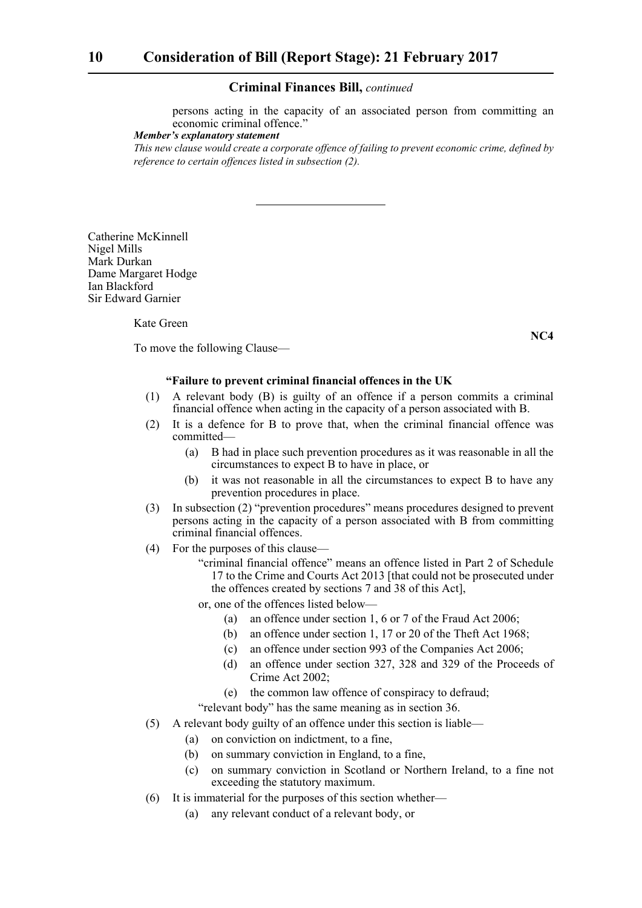persons acting in the capacity of an associated person from committing an economic criminal offence."

#### *Member's explanatory statement*

*This new clause would create a corporate offence of failing to prevent economic crime, defined by reference to certain offences listed in subsection (2).*

Catherine McKinnell Nigel Mills Mark Durkan Dame Margaret Hodge Ian Blackford Sir Edward Garnier

Kate Green

To move the following Clause—

#### **"Failure to prevent criminal financial offences in the UK**

- (1) A relevant body (B) is guilty of an offence if a person commits a criminal financial offence when acting in the capacity of a person associated with B.
- (2) It is a defence for B to prove that, when the criminal financial offence was committed—
	- (a) B had in place such prevention procedures as it was reasonable in all the circumstances to expect B to have in place, or
	- (b) it was not reasonable in all the circumstances to expect B to have any prevention procedures in place.
- (3) In subsection (2) "prevention procedures" means procedures designed to prevent persons acting in the capacity of a person associated with B from committing criminal financial offences.
- (4) For the purposes of this clause—
	- "criminal financial offence" means an offence listed in Part 2 of Schedule 17 to the Crime and Courts Act 2013 [that could not be prosecuted under the offences created by sections 7 and 38 of this Act],
	- or, one of the offences listed below—
		- (a) an offence under section 1, 6 or 7 of the Fraud Act 2006;
		- (b) an offence under section 1, 17 or 20 of the Theft Act 1968;
		- (c) an offence under section 993 of the Companies Act 2006;
		- (d) an offence under section 327, 328 and 329 of the Proceeds of Crime Act 2002;
		- (e) the common law offence of conspiracy to defraud;

"relevant body" has the same meaning as in section 36.

- (5) A relevant body guilty of an offence under this section is liable—
	- (a) on conviction on indictment, to a fine,
	- (b) on summary conviction in England, to a fine,
	- (c) on summary conviction in Scotland or Northern Ireland, to a fine not exceeding the statutory maximum.
- (6) It is immaterial for the purposes of this section whether—
	- (a) any relevant conduct of a relevant body, or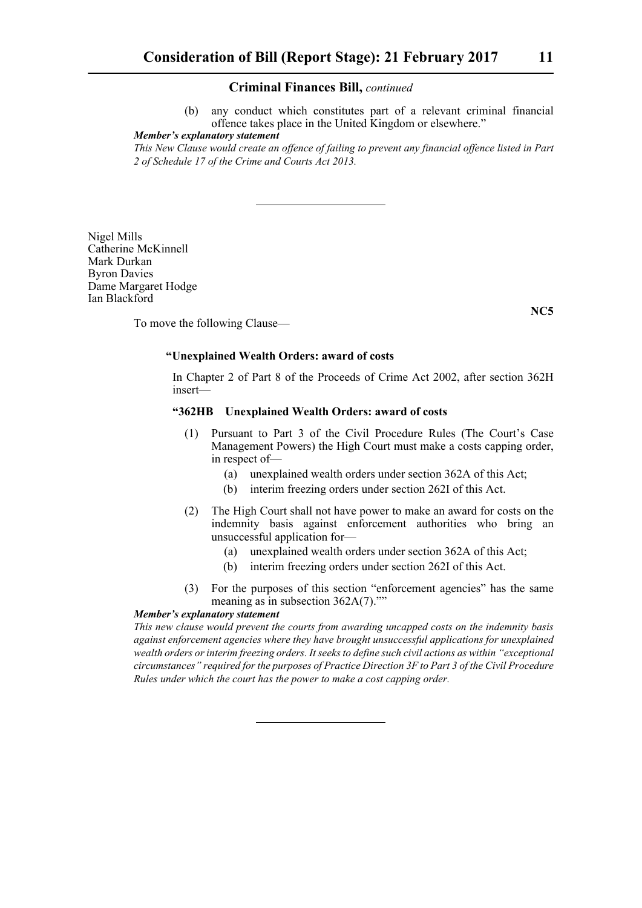(b) any conduct which constitutes part of a relevant criminal financial offence takes place in the United Kingdom or elsewhere."

#### *Member's explanatory statement*

*This New Clause would create an offence of failing to prevent any financial offence listed in Part 2 of Schedule 17 of the Crime and Courts Act 2013.*

Nigel Mills Catherine McKinnell Mark Durkan Byron Davies Dame Margaret Hodge Ian Blackford

**NC5**

To move the following Clause—

#### **"Unexplained Wealth Orders: award of costs**

In Chapter 2 of Part 8 of the Proceeds of Crime Act 2002, after section 362H insert—

#### **"362HB Unexplained Wealth Orders: award of costs**

- (1) Pursuant to Part 3 of the Civil Procedure Rules (The Court's Case Management Powers) the High Court must make a costs capping order, in respect of—
	- (a) unexplained wealth orders under section 362A of this Act;
	- (b) interim freezing orders under section 262I of this Act.
- (2) The High Court shall not have power to make an award for costs on the indemnity basis against enforcement authorities who bring an unsuccessful application for—
	- (a) unexplained wealth orders under section 362A of this Act;
	- (b) interim freezing orders under section 262I of this Act.
- (3) For the purposes of this section "enforcement agencies" has the same meaning as in subsection 362A(7).""

#### *Member's explanatory statement*

*This new clause would prevent the courts from awarding uncapped costs on the indemnity basis against enforcement agencies where they have brought unsuccessful applications for unexplained wealth orders or interim freezing orders. It seeks to define such civil actions as within "exceptional circumstances" required for the purposes of Practice Direction 3F to Part 3 of the Civil Procedure Rules under which the court has the power to make a cost capping order.*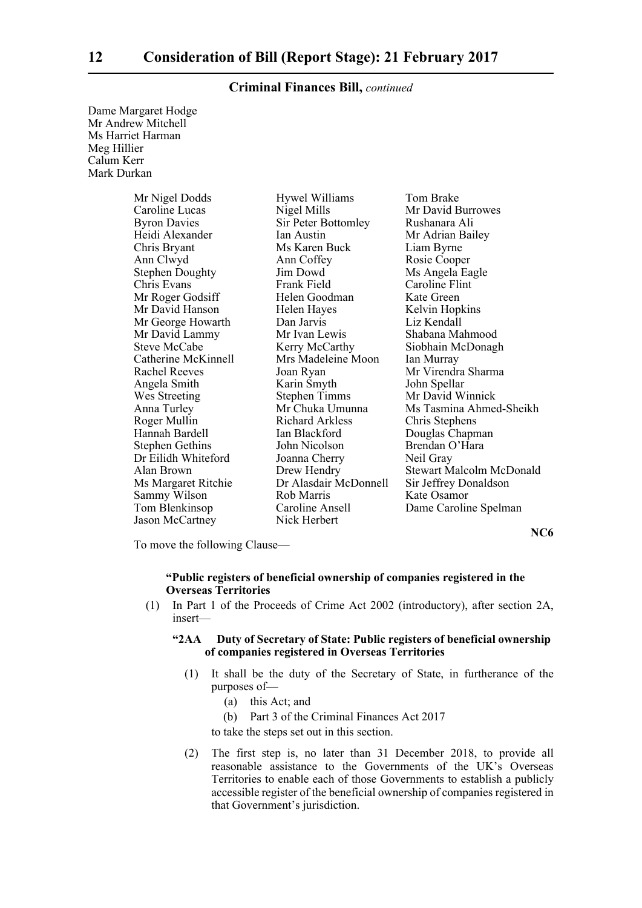| Dame Margaret Hodge |
|---------------------|
| Mr Andrew Mitchell  |
| Ms Harriet Harman   |
| Meg Hillier         |
| Calum Kerr          |
| Mark Durkan         |

| Mr Nigel Dodds         | Hywel Williams         | Tom Brake                       |
|------------------------|------------------------|---------------------------------|
| Caroline Lucas         | Nigel Mills            | Mr David Burrowes               |
| <b>Byron Davies</b>    | Sir Peter Bottomley    | Rushanara Ali                   |
| Heidi Alexander        | Ian Austin             | Mr Adrian Bailey                |
| Chris Bryant           | Ms Karen Buck          | Liam Byrne                      |
| Ann Clwyd              | Ann Coffey             | Rosie Cooper                    |
| <b>Stephen Doughty</b> | Jim Dowd               | Ms Angela Eagle                 |
| Chris Evans            | Frank Field            | Caroline Flint                  |
| Mr Roger Godsiff       | Helen Goodman          | Kate Green                      |
| Mr David Hanson        | Helen Hayes            | Kelvin Hopkins                  |
| Mr George Howarth      | Dan Jarvis             | Liz Kendall                     |
| Mr David Lammy         | Mr Ivan Lewis          | Shabana Mahmood                 |
| <b>Steve McCabe</b>    | Kerry McCarthy         | Siobhain McDonagh               |
| Catherine McKinnell    | Mrs Madeleine Moon     | Ian Murray                      |
| <b>Rachel Reeves</b>   | Joan Ryan              | Mr Virendra Sharma              |
| Angela Smith           | Karin Smyth            | John Spellar                    |
| Wes Streeting          | <b>Stephen Timms</b>   | Mr David Winnick                |
| Anna Turley            | Mr Chuka Umunna        | Ms Tasmina Ahmed-Sheikh         |
| Roger Mullin           | <b>Richard Arkless</b> | Chris Stephens                  |
| Hannah Bardell         | Ian Blackford          | Douglas Chapman                 |
| <b>Stephen Gethins</b> | John Nicolson          | Brendan O'Hara                  |
| Dr Eilidh Whiteford    | Joanna Cherry          | Neil Gray                       |
| Alan Brown             | Drew Hendry            | <b>Stewart Malcolm McDonald</b> |
| Ms Margaret Ritchie    | Dr Alasdair McDonnell  | Sir Jeffrey Donaldson           |
| Sammy Wilson           | Rob Marris             | Kate Osamor                     |
| Tom Blenkinsop         | Caroline Ansell        | Dame Caroline Spelman           |
| <b>Jason McCartney</b> | Nick Herbert           |                                 |

**NC6**

To move the following Clause—

#### **"Public registers of beneficial ownership of companies registered in the Overseas Territories**

(1) In Part 1 of the Proceeds of Crime Act 2002 (introductory), after section 2A, insert—

#### **"2AA Duty of Secretary of State: Public registers of beneficial ownership of companies registered in Overseas Territories**

- (1) It shall be the duty of the Secretary of State, in furtherance of the purposes of—
	- (a) this Act; and
	- (b) Part 3 of the Criminal Finances Act 2017

to take the steps set out in this section.

(2) The first step is, no later than 31 December 2018, to provide all reasonable assistance to the Governments of the UK's Overseas Territories to enable each of those Governments to establish a publicly accessible register of the beneficial ownership of companies registered in that Government's jurisdiction.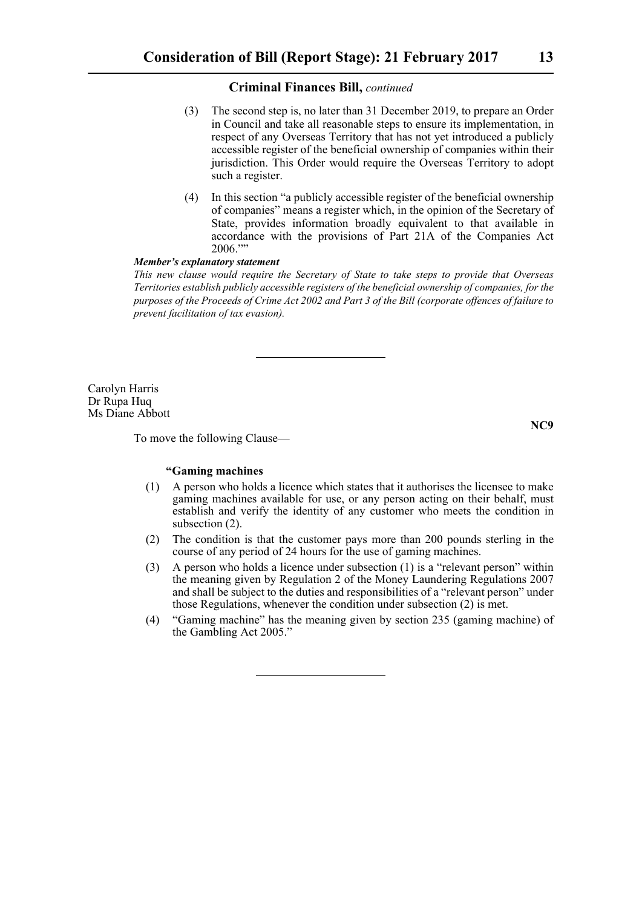- (3) The second step is, no later than 31 December 2019, to prepare an Order in Council and take all reasonable steps to ensure its implementation, in respect of any Overseas Territory that has not yet introduced a publicly accessible register of the beneficial ownership of companies within their jurisdiction. This Order would require the Overseas Territory to adopt such a register.
- (4) In this section "a publicly accessible register of the beneficial ownership of companies" means a register which, in the opinion of the Secretary of State, provides information broadly equivalent to that available in accordance with the provisions of Part 21A of the Companies Act 2006.""

#### *Member's explanatory statement*

*This new clause would require the Secretary of State to take steps to provide that Overseas Territories establish publicly accessible registers of the beneficial ownership of companies, for the purposes of the Proceeds of Crime Act 2002 and Part 3 of the Bill (corporate offences of failure to prevent facilitation of tax evasion).*

Carolyn Harris Dr Rupa Huq Ms Diane Abbott

To move the following Clause—

**NC9**

#### **"Gaming machines**

- (1) A person who holds a licence which states that it authorises the licensee to make gaming machines available for use, or any person acting on their behalf, must establish and verify the identity of any customer who meets the condition in subsection (2).
- (2) The condition is that the customer pays more than 200 pounds sterling in the course of any period of 24 hours for the use of gaming machines.
- (3) A person who holds a licence under subsection (1) is a "relevant person" within the meaning given by Regulation 2 of the Money Laundering Regulations 2007 and shall be subject to the duties and responsibilities of a "relevant person" under those Regulations, whenever the condition under subsection (2) is met.
- (4) "Gaming machine" has the meaning given by section 235 (gaming machine) of the Gambling Act 2005."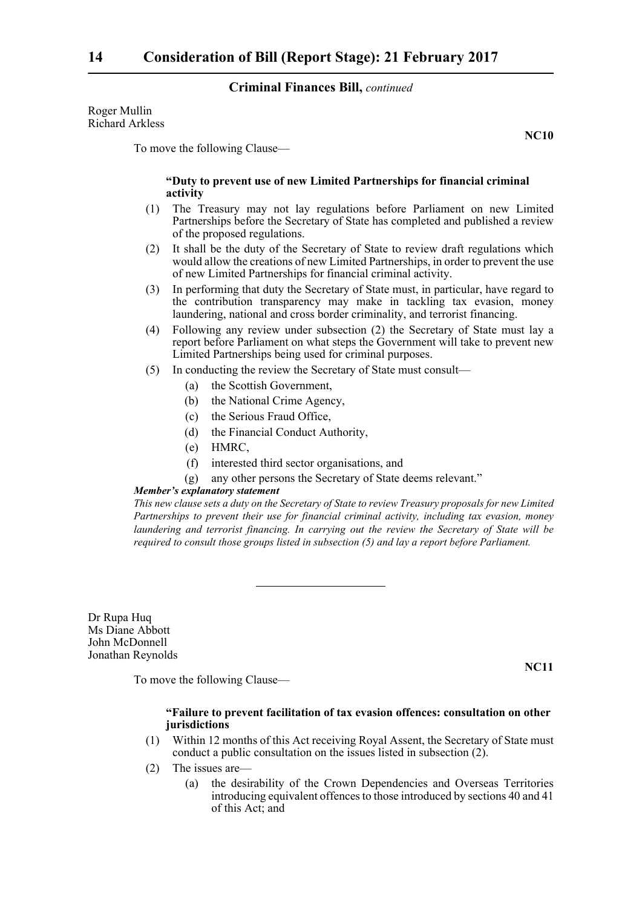Roger Mullin Richard Arkless

To move the following Clause—

#### **"Duty to prevent use of new Limited Partnerships for financial criminal activity**

- (1) The Treasury may not lay regulations before Parliament on new Limited Partnerships before the Secretary of State has completed and published a review of the proposed regulations.
- (2) It shall be the duty of the Secretary of State to review draft regulations which would allow the creations of new Limited Partnerships, in order to prevent the use of new Limited Partnerships for financial criminal activity.
- (3) In performing that duty the Secretary of State must, in particular, have regard to the contribution transparency may make in tackling tax evasion, money laundering, national and cross border criminality, and terrorist financing.
- (4) Following any review under subsection (2) the Secretary of State must lay a report before Parliament on what steps the Government will take to prevent new Limited Partnerships being used for criminal purposes.
- (5) In conducting the review the Secretary of State must consult—
	- (a) the Scottish Government,
	- (b) the National Crime Agency,
	- (c) the Serious Fraud Office,
	- (d) the Financial Conduct Authority,
	- (e) HMRC,
	- (f) interested third sector organisations, and
	- (g) any other persons the Secretary of State deems relevant."

#### *Member's explanatory statement*

*This new clause sets a duty on the Secretary of State to review Treasury proposals for new Limited Partnerships to prevent their use for financial criminal activity, including tax evasion, money laundering and terrorist financing. In carrying out the review the Secretary of State will be required to consult those groups listed in subsection (5) and lay a report before Parliament.*

Dr Rupa Huq Ms Diane Abbott John McDonnell Jonathan Reynolds

To move the following Clause—

#### **"Failure to prevent facilitation of tax evasion offences: consultation on other jurisdictions**

- (1) Within 12 months of this Act receiving Royal Assent, the Secretary of State must conduct a public consultation on the issues listed in subsection (2).
- (2) The issues are—
	- (a) the desirability of the Crown Dependencies and Overseas Territories introducing equivalent offences to those introduced by sections 40 and 41 of this Act; and

**NC11**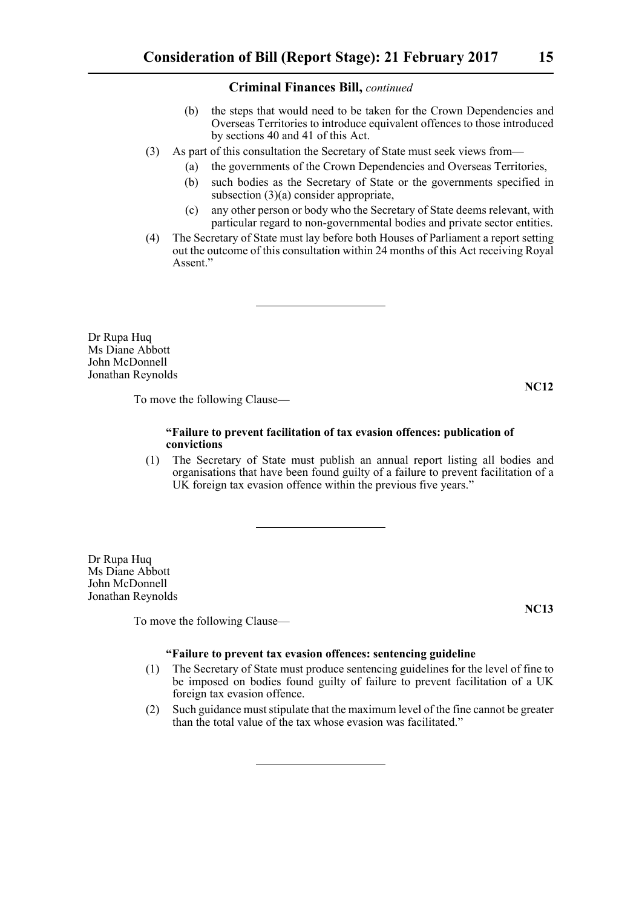- (b) the steps that would need to be taken for the Crown Dependencies and Overseas Territories to introduce equivalent offences to those introduced by sections 40 and 41 of this Act.
- (3) As part of this consultation the Secretary of State must seek views from—
	- (a) the governments of the Crown Dependencies and Overseas Territories,
	- (b) such bodies as the Secretary of State or the governments specified in subsection (3)(a) consider appropriate,
	- (c) any other person or body who the Secretary of State deems relevant, with particular regard to non-governmental bodies and private sector entities.
- (4) The Secretary of State must lay before both Houses of Parliament a report setting out the outcome of this consultation within 24 months of this Act receiving Royal Assent."

Dr Rupa Huq Ms Diane Abbott John McDonnell Jonathan Reynolds

**NC12**

To move the following Clause—

#### **"Failure to prevent facilitation of tax evasion offences: publication of convictions**

(1) The Secretary of State must publish an annual report listing all bodies and organisations that have been found guilty of a failure to prevent facilitation of a UK foreign tax evasion offence within the previous five years."

Dr Rupa Huq Ms Diane Abbott John McDonnell Jonathan Reynolds

To move the following Clause—

**NC13**

#### **"Failure to prevent tax evasion offences: sentencing guideline**

- (1) The Secretary of State must produce sentencing guidelines for the level of fine to be imposed on bodies found guilty of failure to prevent facilitation of a UK foreign tax evasion offence.
- (2) Such guidance must stipulate that the maximum level of the fine cannot be greater than the total value of the tax whose evasion was facilitated."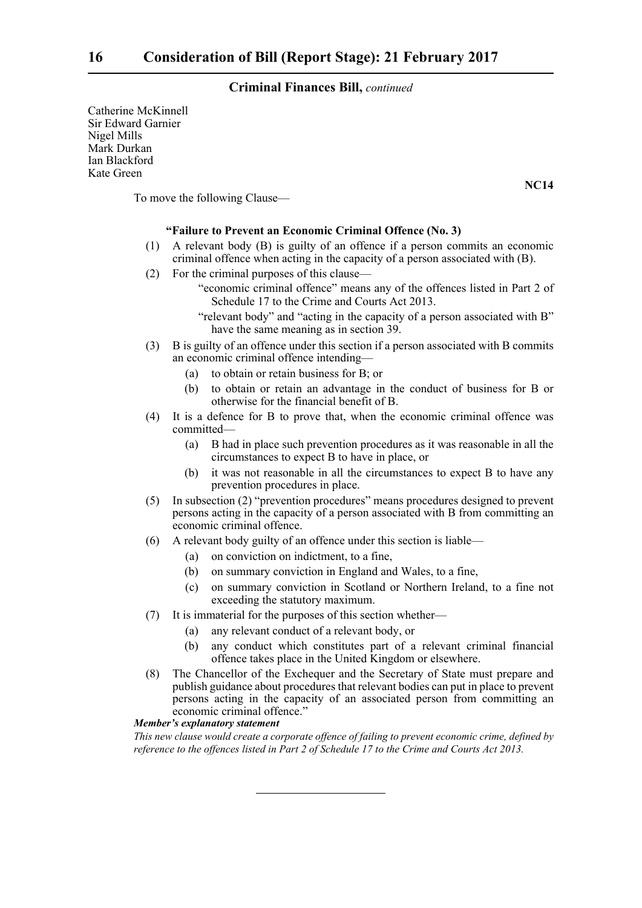Catherine McKinnell Sir Edward Garnier Nigel Mills Mark Durkan Ian Blackford Kate Green

To move the following Clause—

#### **"Failure to Prevent an Economic Criminal Offence (No. 3)**

- (1) A relevant body (B) is guilty of an offence if a person commits an economic criminal offence when acting in the capacity of a person associated with (B).
- (2) For the criminal purposes of this clause—
	- "economic criminal offence" means any of the offences listed in Part 2 of Schedule 17 to the Crime and Courts Act 2013.
	- "relevant body" and "acting in the capacity of a person associated with B" have the same meaning as in section 39.
- (3) B is guilty of an offence under this section if a person associated with B commits an economic criminal offence intending—
	- (a) to obtain or retain business for B; or
	- (b) to obtain or retain an advantage in the conduct of business for B or otherwise for the financial benefit of B.
- (4) It is a defence for B to prove that, when the economic criminal offence was committed—
	- (a) B had in place such prevention procedures as it was reasonable in all the circumstances to expect B to have in place, or
	- (b) it was not reasonable in all the circumstances to expect B to have any prevention procedures in place.
- (5) In subsection (2) "prevention procedures" means procedures designed to prevent persons acting in the capacity of a person associated with B from committing an economic criminal offence.
- (6) A relevant body guilty of an offence under this section is liable—
	- (a) on conviction on indictment, to a fine,
	- (b) on summary conviction in England and Wales, to a fine,
	- (c) on summary conviction in Scotland or Northern Ireland, to a fine not exceeding the statutory maximum.
- (7) It is immaterial for the purposes of this section whether—
	- (a) any relevant conduct of a relevant body, or
	- (b) any conduct which constitutes part of a relevant criminal financial offence takes place in the United Kingdom or elsewhere.
- (8) The Chancellor of the Exchequer and the Secretary of State must prepare and publish guidance about procedures that relevant bodies can put in place to prevent persons acting in the capacity of an associated person from committing an economic criminal offence."

#### *Member's explanatory statement*

*This new clause would create a corporate offence of failing to prevent economic crime, defined by reference to the offences listed in Part 2 of Schedule 17 to the Crime and Courts Act 2013.*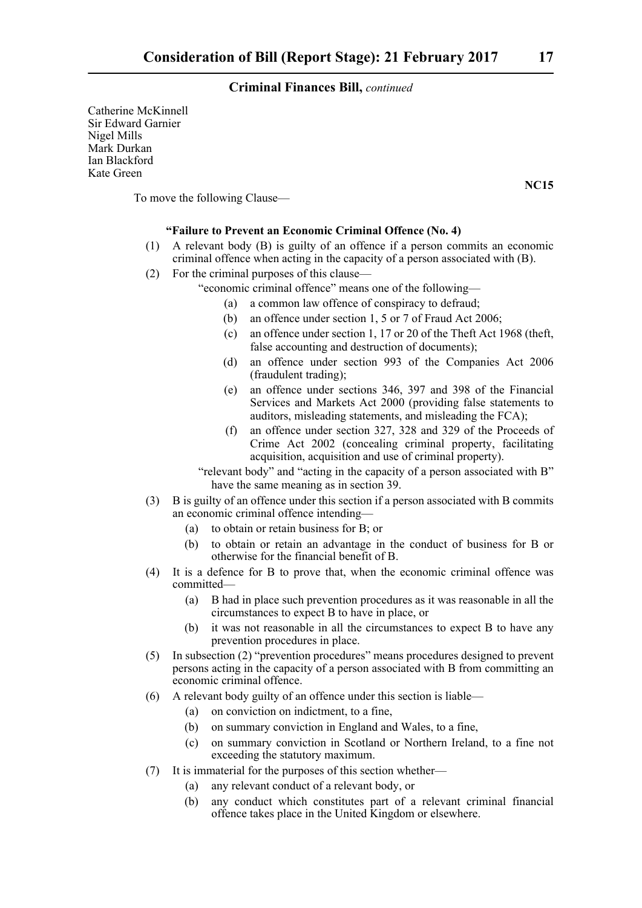Catherine McKinnell Sir Edward Garnier Nigel Mills Mark Durkan Ian Blackford Kate Green

To move the following Clause—

#### **"Failure to Prevent an Economic Criminal Offence (No. 4)**

- (1) A relevant body (B) is guilty of an offence if a person commits an economic criminal offence when acting in the capacity of a person associated with (B).
- (2) For the criminal purposes of this clause—
	- "economic criminal offence" means one of the following—
		- (a) a common law offence of conspiracy to defraud;
		- (b) an offence under section 1, 5 or 7 of Fraud Act 2006;
		- (c) an offence under section 1, 17 or 20 of the Theft Act 1968 (theft, false accounting and destruction of documents);
		- (d) an offence under section 993 of the Companies Act 2006 (fraudulent trading);
		- (e) an offence under sections 346, 397 and 398 of the Financial Services and Markets Act 2000 (providing false statements to auditors, misleading statements, and misleading the FCA);
		- (f) an offence under section 327, 328 and 329 of the Proceeds of Crime Act 2002 (concealing criminal property, facilitating acquisition, acquisition and use of criminal property).
	- "relevant body" and "acting in the capacity of a person associated with B" have the same meaning as in section 39.
- (3) B is guilty of an offence under this section if a person associated with B commits an economic criminal offence intending—
	- (a) to obtain or retain business for B; or
	- (b) to obtain or retain an advantage in the conduct of business for B or otherwise for the financial benefit of B.
- (4) It is a defence for B to prove that, when the economic criminal offence was committed—
	- (a) B had in place such prevention procedures as it was reasonable in all the circumstances to expect B to have in place, or
	- (b) it was not reasonable in all the circumstances to expect B to have any prevention procedures in place.
- (5) In subsection (2) "prevention procedures" means procedures designed to prevent persons acting in the capacity of a person associated with B from committing an economic criminal offence.
- (6) A relevant body guilty of an offence under this section is liable—
	- (a) on conviction on indictment, to a fine,
	- (b) on summary conviction in England and Wales, to a fine,
	- (c) on summary conviction in Scotland or Northern Ireland, to a fine not exceeding the statutory maximum.
- (7) It is immaterial for the purposes of this section whether—
	- (a) any relevant conduct of a relevant body, or
	- (b) any conduct which constitutes part of a relevant criminal financial offence takes place in the United Kingdom or elsewhere.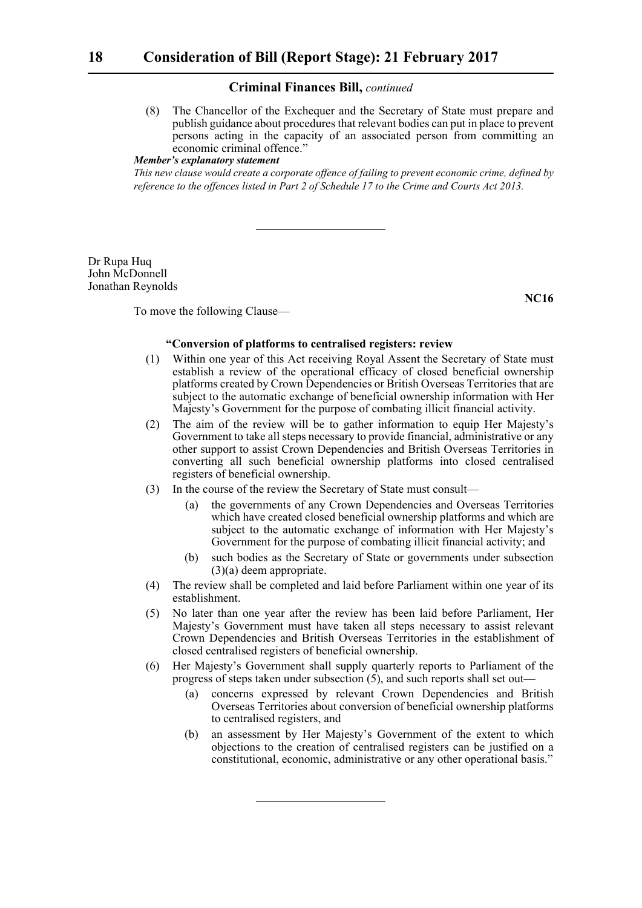(8) The Chancellor of the Exchequer and the Secretary of State must prepare and publish guidance about procedures that relevant bodies can put in place to prevent persons acting in the capacity of an associated person from committing an economic criminal offence."

### *Member's explanatory statement*

*This new clause would create a corporate offence of failing to prevent economic crime, defined by reference to the offences listed in Part 2 of Schedule 17 to the Crime and Courts Act 2013.*

Dr Rupa Huq John McDonnell Jonathan Reynolds

**NC16**

To move the following Clause—

#### **"Conversion of platforms to centralised registers: review**

- (1) Within one year of this Act receiving Royal Assent the Secretary of State must establish a review of the operational efficacy of closed beneficial ownership platforms created by Crown Dependencies or British Overseas Territories that are subject to the automatic exchange of beneficial ownership information with Her Majesty's Government for the purpose of combating illicit financial activity.
- (2) The aim of the review will be to gather information to equip Her Majesty's Government to take all steps necessary to provide financial, administrative or any other support to assist Crown Dependencies and British Overseas Territories in converting all such beneficial ownership platforms into closed centralised registers of beneficial ownership.
- (3) In the course of the review the Secretary of State must consult—
	- (a) the governments of any Crown Dependencies and Overseas Territories which have created closed beneficial ownership platforms and which are subject to the automatic exchange of information with Her Majesty's Government for the purpose of combating illicit financial activity; and
	- (b) such bodies as the Secretary of State or governments under subsection (3)(a) deem appropriate.
- (4) The review shall be completed and laid before Parliament within one year of its establishment.
- (5) No later than one year after the review has been laid before Parliament, Her Majesty's Government must have taken all steps necessary to assist relevant Crown Dependencies and British Overseas Territories in the establishment of closed centralised registers of beneficial ownership.
- (6) Her Majesty's Government shall supply quarterly reports to Parliament of the progress of steps taken under subsection  $(5)$ , and such reports shall set out—
	- (a) concerns expressed by relevant Crown Dependencies and British Overseas Territories about conversion of beneficial ownership platforms to centralised registers, and
	- (b) an assessment by Her Majesty's Government of the extent to which objections to the creation of centralised registers can be justified on a constitutional, economic, administrative or any other operational basis."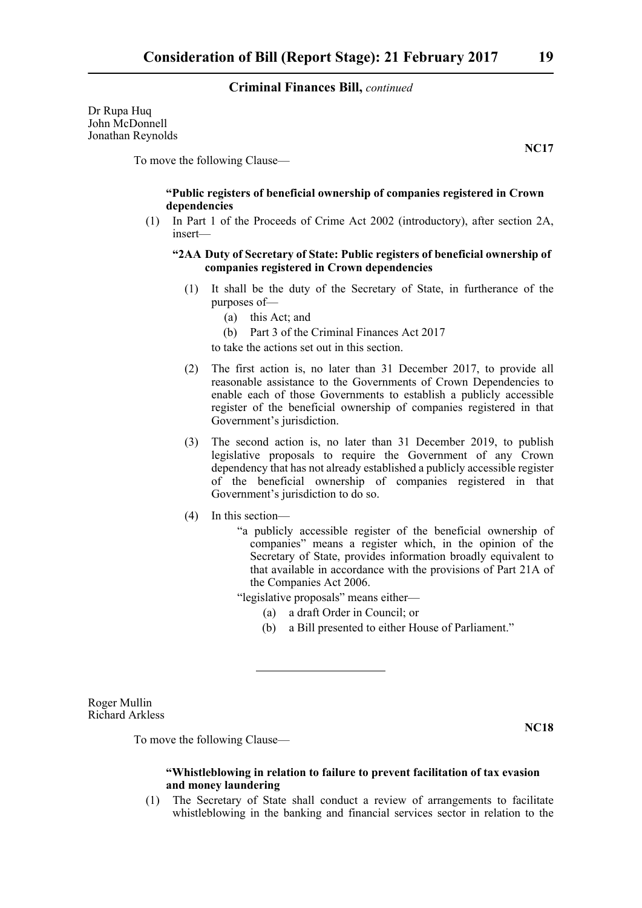Dr Rupa Huq John McDonnell Jonathan Reynolds

To move the following Clause—

#### **"Public registers of beneficial ownership of companies registered in Crown dependencies**

(1) In Part 1 of the Proceeds of Crime Act 2002 (introductory), after section 2A, insert—

#### **"2AA Duty of Secretary of State: Public registers of beneficial ownership of companies registered in Crown dependencies**

- (1) It shall be the duty of the Secretary of State, in furtherance of the purposes of—
	- (a) this Act; and
	- (b) Part 3 of the Criminal Finances Act 2017

to take the actions set out in this section.

- (2) The first action is, no later than 31 December 2017, to provide all reasonable assistance to the Governments of Crown Dependencies to enable each of those Governments to establish a publicly accessible register of the beneficial ownership of companies registered in that Government's jurisdiction.
- (3) The second action is, no later than 31 December 2019, to publish legislative proposals to require the Government of any Crown dependency that has not already established a publicly accessible register of the beneficial ownership of companies registered in that Government's jurisdiction to do so.
- (4) In this section—
	- "a publicly accessible register of the beneficial ownership of companies" means a register which, in the opinion of the Secretary of State, provides information broadly equivalent to that available in accordance with the provisions of Part 21A of the Companies Act 2006.
	- "legislative proposals" means either—
		- (a) a draft Order in Council; or
		- (b) a Bill presented to either House of Parliament."

Roger Mullin Richard Arkless

**NC18**

To move the following Clause—

#### **"Whistleblowing in relation to failure to prevent facilitation of tax evasion and money laundering**

(1) The Secretary of State shall conduct a review of arrangements to facilitate whistleblowing in the banking and financial services sector in relation to the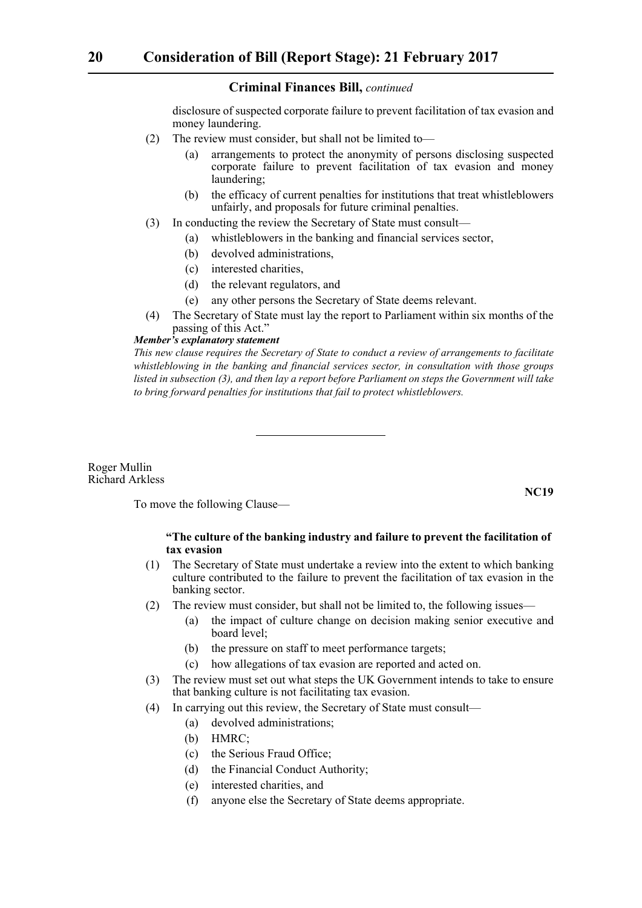disclosure of suspected corporate failure to prevent facilitation of tax evasion and money laundering.

- (2) The review must consider, but shall not be limited to—
	- (a) arrangements to protect the anonymity of persons disclosing suspected corporate failure to prevent facilitation of tax evasion and money laundering;
	- (b) the efficacy of current penalties for institutions that treat whistleblowers unfairly, and proposals for future criminal penalties.
- (3) In conducting the review the Secretary of State must consult—
	- (a) whistleblowers in the banking and financial services sector,
		- (b) devolved administrations,
		- (c) interested charities,
		- (d) the relevant regulators, and
		- (e) any other persons the Secretary of State deems relevant.
- (4) The Secretary of State must lay the report to Parliament within six months of the passing of this Act."

#### *Member's explanatory statement*

*This new clause requires the Secretary of State to conduct a review of arrangements to facilitate whistleblowing in the banking and financial services sector, in consultation with those groups listed in subsection (3), and then lay a report before Parliament on steps the Government will take to bring forward penalties for institutions that fail to protect whistleblowers.*

Roger Mullin Richard Arkless

To move the following Clause—

#### **"The culture of the banking industry and failure to prevent the facilitation of tax evasion**

- (1) The Secretary of State must undertake a review into the extent to which banking culture contributed to the failure to prevent the facilitation of tax evasion in the banking sector.
- (2) The review must consider, but shall not be limited to, the following issues—
	- (a) the impact of culture change on decision making senior executive and board level;
	- (b) the pressure on staff to meet performance targets;
	- (c) how allegations of tax evasion are reported and acted on.
- (3) The review must set out what steps the UK Government intends to take to ensure that banking culture is not facilitating tax evasion.
- (4) In carrying out this review, the Secretary of State must consult—
	- (a) devolved administrations;
	- (b) HMRC;
	- (c) the Serious Fraud Office;
	- (d) the Financial Conduct Authority;
	- (e) interested charities, and
	- (f) anyone else the Secretary of State deems appropriate.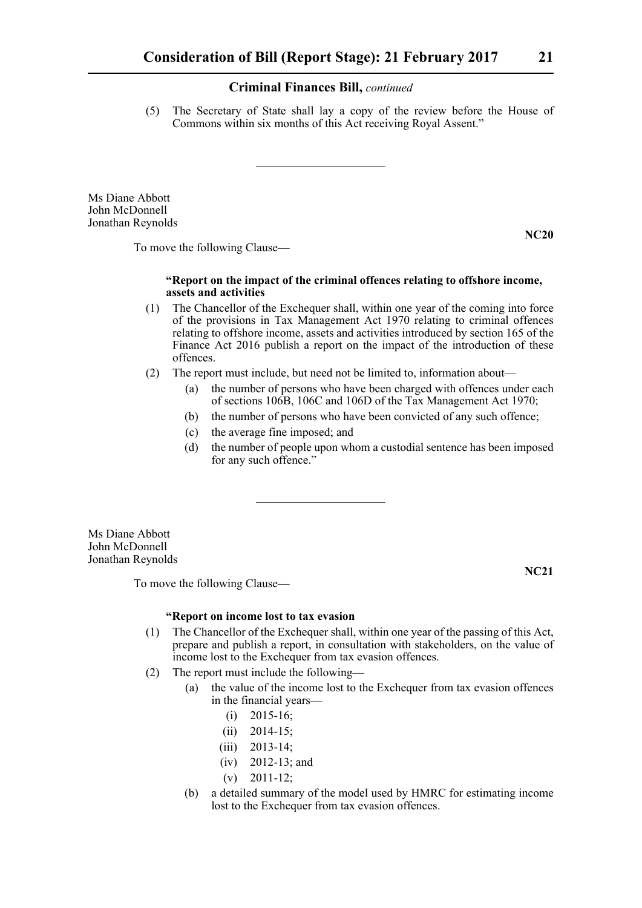(5) The Secretary of State shall lay a copy of the review before the House of Commons within six months of this Act receiving Royal Assent."

Ms Diane Abbott John McDonnell Jonathan Reynolds

**NC20**

**NC21**

To move the following Clause—

#### **"Report on the impact of the criminal offences relating to offshore income, assets and activities**

- (1) The Chancellor of the Exchequer shall, within one year of the coming into force of the provisions in Tax Management Act 1970 relating to criminal offences relating to offshore income, assets and activities introduced by section 165 of the Finance Act 2016 publish a report on the impact of the introduction of these offences.
- (2) The report must include, but need not be limited to, information about—
	- (a) the number of persons who have been charged with offences under each of sections 106B, 106C and 106D of the Tax Management Act 1970;
	- (b) the number of persons who have been convicted of any such offence;
	- (c) the average fine imposed; and
	- (d) the number of people upon whom a custodial sentence has been imposed for any such offence."

Ms Diane Abbott John McDonnell Jonathan Reynolds

To move the following Clause—

**"Report on income lost to tax evasion**

- (1) The Chancellor of the Exchequer shall, within one year of the passing of this Act, prepare and publish a report, in consultation with stakeholders, on the value of income lost to the Exchequer from tax evasion offences.
- (2) The report must include the following—
	- (a) the value of the income lost to the Exchequer from tax evasion offences in the financial years—
		- (i) 2015-16;
		- (ii) 2014-15;
		- (iii) 2013-14;
		- (iv) 2012-13; and
		- $(v)$  2011-12;
	- (b) a detailed summary of the model used by HMRC for estimating income lost to the Exchequer from tax evasion offences.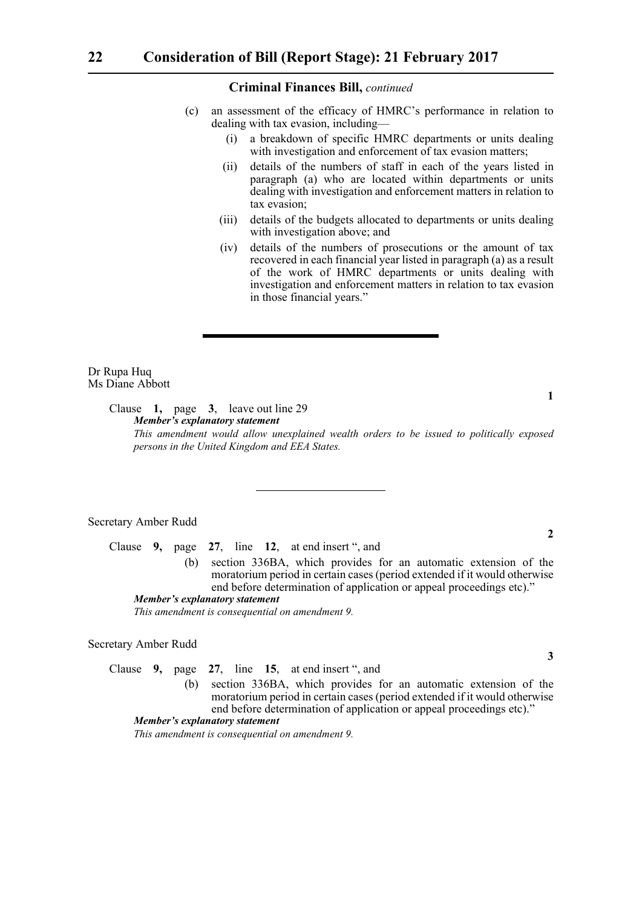- (c) an assessment of the efficacy of HMRC's performance in relation to dealing with tax evasion, including—
	- (i) a breakdown of specific HMRC departments or units dealing with investigation and enforcement of tax evasion matters;
	- (ii) details of the numbers of staff in each of the years listed in paragraph (a) who are located within departments or units dealing with investigation and enforcement matters in relation to tax evasion;
	- (iii) details of the budgets allocated to departments or units dealing with investigation above; and
	- (iv) details of the numbers of prosecutions or the amount of tax recovered in each financial year listed in paragraph (a) as a result of the work of HMRC departments or units dealing with investigation and enforcement matters in relation to tax evasion in those financial years."

Dr Rupa Huq Ms Diane Abbott

> Clause **1,** page **3**, leave out line 29 *Member's explanatory statement This amendment would allow unexplained wealth orders to be issued to politically exposed persons in the United Kingdom and EEA States.*

#### Secretary Amber Rudd

Clause **9,** page **27**, line **12**, at end insert ", and (b) section 336BA, which provides for an automatic extension of the moratorium period in certain cases (period extended if it would otherwise end before determination of application or appeal proceedings etc)." *Member's explanatory statement* 

*This amendment is consequential on amendment 9.*

#### Secretary Amber Rudd

Clause **9,** page **27**, line **15**, at end insert ", and

(b) section 336BA, which provides for an automatic extension of the moratorium period in certain cases (period extended if it would otherwise end before determination of application or appeal proceedings etc)."

*Member's explanatory statement* 

*This amendment is consequential on amendment 9.*

**1**

**2**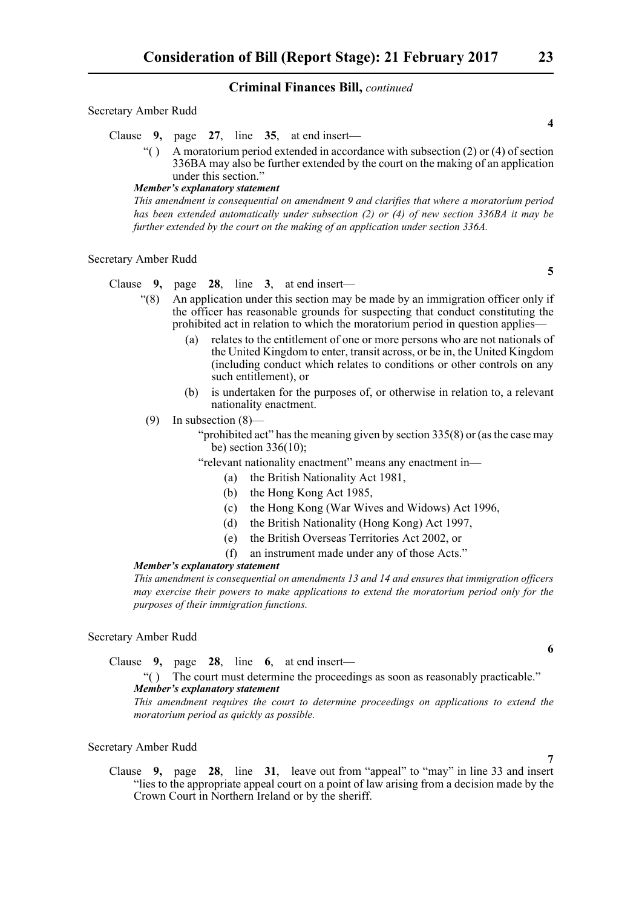#### Secretary Amber Rudd

Clause **9,** page **27**, line **35**, at end insert—

 $\mathcal{L}$  A moratorium period extended in accordance with subsection (2) or (4) of section 336BA may also be further extended by the court on the making of an application under this section."

#### *Member's explanatory statement*

*This amendment is consequential on amendment 9 and clarifies that where a moratorium period has been extended automatically under subsection (2) or (4) of new section 336BA it may be further extended by the court on the making of an application under section 336A.*

#### Secretary Amber Rudd

Clause **9,** page **28**, line **3**, at end insert—

- "(8) An application under this section may be made by an immigration officer only if the officer has reasonable grounds for suspecting that conduct constituting the prohibited act in relation to which the moratorium period in question applies—
	- (a) relates to the entitlement of one or more persons who are not nationals of the United Kingdom to enter, transit across, or be in, the United Kingdom (including conduct which relates to conditions or other controls on any such entitlement), or
	- (b) is undertaken for the purposes of, or otherwise in relation to, a relevant nationality enactment.
- (9) In subsection (8)—
	- "prohibited act" has the meaning given by section 335(8) or (as the case may be) section 336(10);

"relevant nationality enactment" means any enactment in—

- (a) the British Nationality Act 1981,
- (b) the Hong Kong Act 1985,
- (c) the Hong Kong (War Wives and Widows) Act 1996,
- (d) the British Nationality (Hong Kong) Act 1997,
- (e) the British Overseas Territories Act 2002, or
- (f) an instrument made under any of those Acts."

#### *Member's explanatory statement*

*This amendment is consequential on amendments 13 and 14 and ensures that immigration officers may exercise their powers to make applications to extend the moratorium period only for the purposes of their immigration functions.*

#### Secretary Amber Rudd

Clause **9,** page **28**, line **6**, at end insert—

#### "( ) The court must determine the proceedings as soon as reasonably practicable." *Member's explanatory statement*

*This amendment requires the court to determine proceedings on applications to extend the moratorium period as quickly as possible.*

#### Secretary Amber Rudd

Clause **9,** page **28**, line **31**, leave out from "appeal" to "may" in line 33 and insert "lies to the appropriate appeal court on a point of law arising from a decision made by the Crown Court in Northern Ireland or by the sheriff.

**4**

**5**

**6**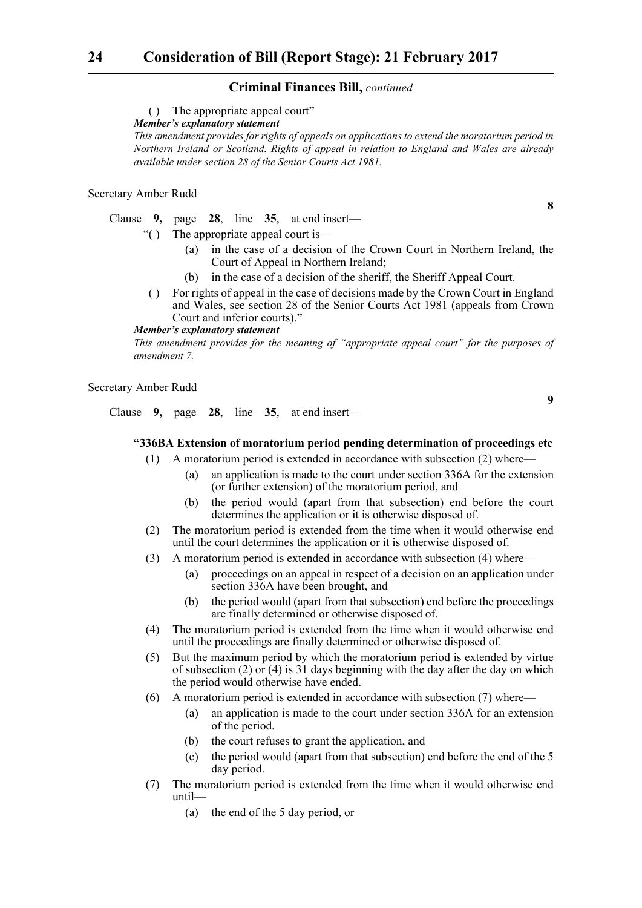( ) The appropriate appeal court"

*Member's explanatory statement* 

*This amendment provides for rights of appeals on applications to extend the moratorium period in Northern Ireland or Scotland. Rights of appeal in relation to England and Wales are already available under section 28 of the Senior Courts Act 1981.*

#### Secretary Amber Rudd

Clause **9,** page **28**, line **35**, at end insert—

- "( ) The appropriate appeal court is—
	- (a) in the case of a decision of the Crown Court in Northern Ireland, the Court of Appeal in Northern Ireland;
	- (b) in the case of a decision of the sheriff, the Sheriff Appeal Court.
- ( ) For rights of appeal in the case of decisions made by the Crown Court in England and Wales, see section 28 of the Senior Courts Act 1981 (appeals from Crown Court and inferior courts)."

#### *Member's explanatory statement*

*This amendment provides for the meaning of "appropriate appeal court" for the purposes of amendment 7.*

#### Secretary Amber Rudd

Clause **9,** page **28**, line **35**, at end insert—

#### **"336BA Extension of moratorium period pending determination of proceedings etc**

- (1) A moratorium period is extended in accordance with subsection (2) where—
	- (a) an application is made to the court under section 336A for the extension (or further extension) of the moratorium period, and
	- (b) the period would (apart from that subsection) end before the court determines the application or it is otherwise disposed of.
- (2) The moratorium period is extended from the time when it would otherwise end until the court determines the application or it is otherwise disposed of.
- (3) A moratorium period is extended in accordance with subsection (4) where—
	- (a) proceedings on an appeal in respect of a decision on an application under section 336A have been brought, and
	- (b) the period would (apart from that subsection) end before the proceedings are finally determined or otherwise disposed of.
- (4) The moratorium period is extended from the time when it would otherwise end until the proceedings are finally determined or otherwise disposed of.
- (5) But the maximum period by which the moratorium period is extended by virtue of subsection (2) or (4) is  $31$  days beginning with the day after the day on which the period would otherwise have ended.
- (6) A moratorium period is extended in accordance with subsection (7) where—
	- (a) an application is made to the court under section 336A for an extension of the period,
	- (b) the court refuses to grant the application, and
	- (c) the period would (apart from that subsection) end before the end of the 5 day period.
- (7) The moratorium period is extended from the time when it would otherwise end until—
	- (a) the end of the 5 day period, or

**8**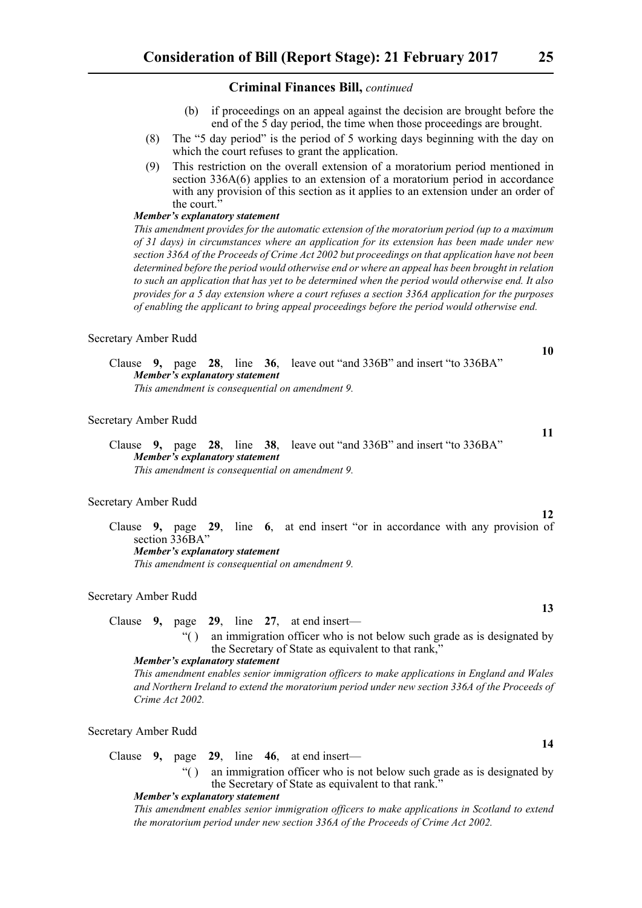- (b) if proceedings on an appeal against the decision are brought before the end of the 5 day period, the time when those proceedings are brought.
- (8) The "5 day period" is the period of 5 working days beginning with the day on which the court refuses to grant the application.
- (9) This restriction on the overall extension of a moratorium period mentioned in section 336A(6) applies to an extension of a moratorium period in accordance with any provision of this section as it applies to an extension under an order of the court.<sup>3</sup>

#### *Member's explanatory statement*

*This amendment provides for the automatic extension of the moratorium period (up to a maximum of 31 days) in circumstances where an application for its extension has been made under new section 336A of the Proceeds of Crime Act 2002 but proceedings on that application have not been determined before the period would otherwise end or where an appeal has been brought in relation to such an application that has yet to be determined when the period would otherwise end. It also provides for a 5 day extension where a court refuses a section 336A application for the purposes of enabling the applicant to bring appeal proceedings before the period would otherwise end.* 

#### Secretary Amber Rudd

Clause **9,** page **28**, line **36**, leave out "and 336B" and insert "to 336BA" *Member's explanatory statement This amendment is consequential on amendment 9.*

#### Secretary Amber Rudd

Clause **9,** page **28**, line **38**, leave out "and 336B" and insert "to 336BA" *Member's explanatory statement This amendment is consequential on amendment 9.*

#### Secretary Amber Rudd

Clause **9,** page **29**, line **6**, at end insert "or in accordance with any provision of section 336BA" *Member's explanatory statement This amendment is consequential on amendment 9.*

#### Secretary Amber Rudd

Clause **9,** page **29**, line **27**, at end insert—

"( ) an immigration officer who is not below such grade as is designated by the Secretary of State as equivalent to that rank,"

#### *Member's explanatory statement*

*This amendment enables senior immigration officers to make applications in England and Wales and Northern Ireland to extend the moratorium period under new section 336A of the Proceeds of Crime Act 2002.*

#### Secretary Amber Rudd

Clause **9,** page **29**, line **46**, at end insert—

"( ) an immigration officer who is not below such grade as is designated by the Secretary of State as equivalent to that rank."

#### *Member's explanatory statement*

*This amendment enables senior immigration officers to make applications in Scotland to extend the moratorium period under new section 336A of the Proceeds of Crime Act 2002.*

**10**

**11**

**12**

**13**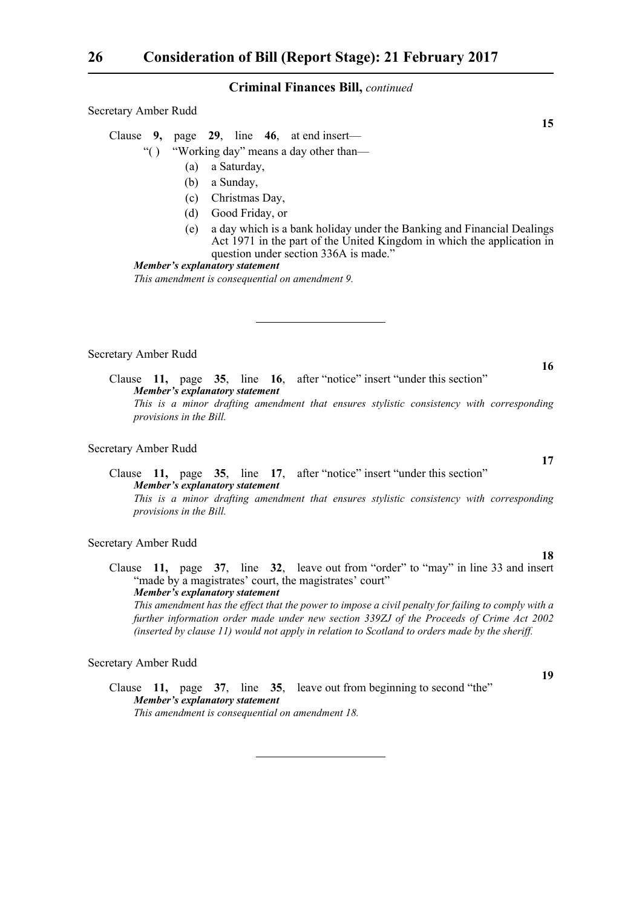Secretary Amber Rudd

Clause **9,** page **29**, line **46**, at end insert—

- "( ) "Working day" means a day other than—
	- (a) a Saturday,
	- (b) a Sunday,
	- (c) Christmas Day,
	- (d) Good Friday, or
	- (e) a day which is a bank holiday under the Banking and Financial Dealings Act 1971 in the part of the United Kingdom in which the application in question under section 336A is made."

*Member's explanatory statement* 

*This amendment is consequential on amendment 9.*

#### Secretary Amber Rudd

Clause **11,** page **35**, line **16**, after "notice" insert "under this section" *Member's explanatory statement This is a minor drafting amendment that ensures stylistic consistency with corresponding provisions in the Bill.*

#### Secretary Amber Rudd

Clause **11,** page **35**, line **17**, after "notice" insert "under this section" *Member's explanatory statement This is a minor drafting amendment that ensures stylistic consistency with corresponding provisions in the Bill.*

#### Secretary Amber Rudd

Clause **11,** page **37**, line **32**, leave out from "order" to "may" in line 33 and insert "made by a magistrates' court, the magistrates' court" *Member's explanatory statement* 

*This amendment has the effect that the power to impose a civil penalty for failing to comply with a further information order made under new section 339ZJ of the Proceeds of Crime Act 2002 (inserted by clause 11) would not apply in relation to Scotland to orders made by the sheriff.*

#### Secretary Amber Rudd

Clause **11,** page **37**, line **35**, leave out from beginning to second "the" *Member's explanatory statement This amendment is consequential on amendment 18.*

**15**

**17**

**16**

**18**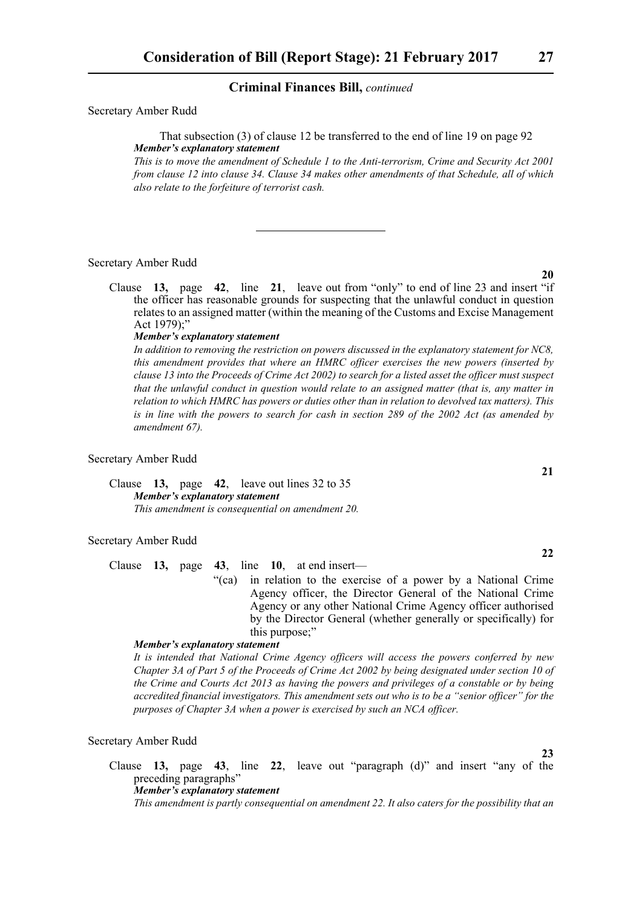Secretary Amber Rudd

That subsection (3) of clause 12 be transferred to the end of line 19 on page 92 *Member's explanatory statement* 

*This is to move the amendment of Schedule 1 to the Anti-terrorism, Crime and Security Act 2001 from clause 12 into clause 34. Clause 34 makes other amendments of that Schedule, all of which also relate to the forfeiture of terrorist cash.*

#### Secretary Amber Rudd

Clause **13,** page **42**, line **21**, leave out from "only" to end of line 23 and insert "if the officer has reasonable grounds for suspecting that the unlawful conduct in question relates to an assigned matter (within the meaning of the Customs and Excise Management Act 1979);"

#### *Member's explanatory statement*

*In addition to removing the restriction on powers discussed in the explanatory statement for NC8, this amendment provides that where an HMRC officer exercises the new powers (inserted by clause 13 into the Proceeds of Crime Act 2002) to search for a listed asset the officer must suspect that the unlawful conduct in question would relate to an assigned matter (that is, any matter in relation to which HMRC has powers or duties other than in relation to devolved tax matters). This is in line with the powers to search for cash in section 289 of the 2002 Act (as amended by amendment 67).* 

#### Secretary Amber Rudd

Clause **13,** page **42**, leave out lines 32 to 35 *Member's explanatory statement This amendment is consequential on amendment 20.*

#### Secretary Amber Rudd

Clause **13,** page **43**, line **10**, at end insert—

"(ca) in relation to the exercise of a power by a National Crime Agency officer, the Director General of the National Crime Agency or any other National Crime Agency officer authorised by the Director General (whether generally or specifically) for this purpose;"

#### *Member's explanatory statement*

*It is intended that National Crime Agency officers will access the powers conferred by new Chapter 3A of Part 5 of the Proceeds of Crime Act 2002 by being designated under section 10 of the Crime and Courts Act 2013 as having the powers and privileges of a constable or by being accredited financial investigators. This amendment sets out who is to be a "senior officer" for the purposes of Chapter 3A when a power is exercised by such an NCA officer.*

#### Secretary Amber Rudd

Clause **13,** page **43**, line **22**, leave out "paragraph (d)" and insert "any of the preceding paragraphs" *Member's explanatory statement* 

*This amendment is partly consequential on amendment 22. It also caters for the possibility that an*

### **20**

**22**

**23**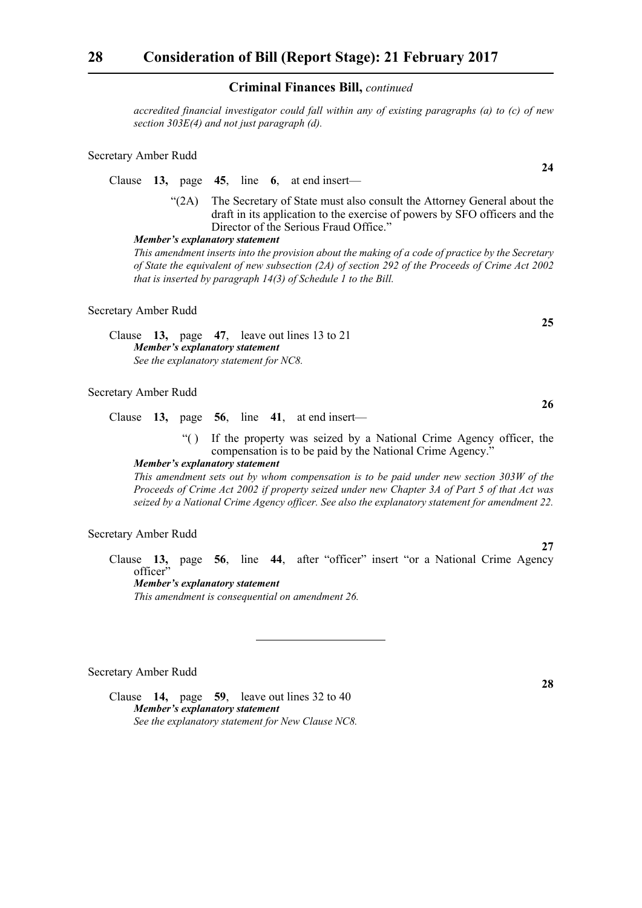*accredited financial investigator could fall within any of existing paragraphs (a) to (c) of new section 303E(4) and not just paragraph (d).*

#### Secretary Amber Rudd

Clause **13,** page **45**, line **6**, at end insert—

"(2A) The Secretary of State must also consult the Attorney General about the draft in its application to the exercise of powers by SFO officers and the Director of the Serious Fraud Office."

#### *Member's explanatory statement*

*This amendment inserts into the provision about the making of a code of practice by the Secretary of State the equivalent of new subsection (2A) of section 292 of the Proceeds of Crime Act 2002 that is inserted by paragraph 14(3) of Schedule 1 to the Bill.*

#### Secretary Amber Rudd

Clause **13,** page **47**, leave out lines 13 to 21 *Member's explanatory statement See the explanatory statement for NC8.*

#### Secretary Amber Rudd

Clause **13,** page **56**, line **41**, at end insert—

"( ) If the property was seized by a National Crime Agency officer, the compensation is to be paid by the National Crime Agency."

*Member's explanatory statement* 

*This amendment sets out by whom compensation is to be paid under new section 303W of the Proceeds of Crime Act 2002 if property seized under new Chapter 3A of Part 5 of that Act was seized by a National Crime Agency officer. See also the explanatory statement for amendment 22.*

Secretary Amber Rudd

Clause **13,** page **56**, line **44**, after "officer" insert "or a National Crime Agency officer" *Member's explanatory statement* 

*This amendment is consequential on amendment 26.*

#### Secretary Amber Rudd

Clause **14,** page **59**, leave out lines 32 to 40 *Member's explanatory statement See the explanatory statement for New Clause NC8.* **25**

**26**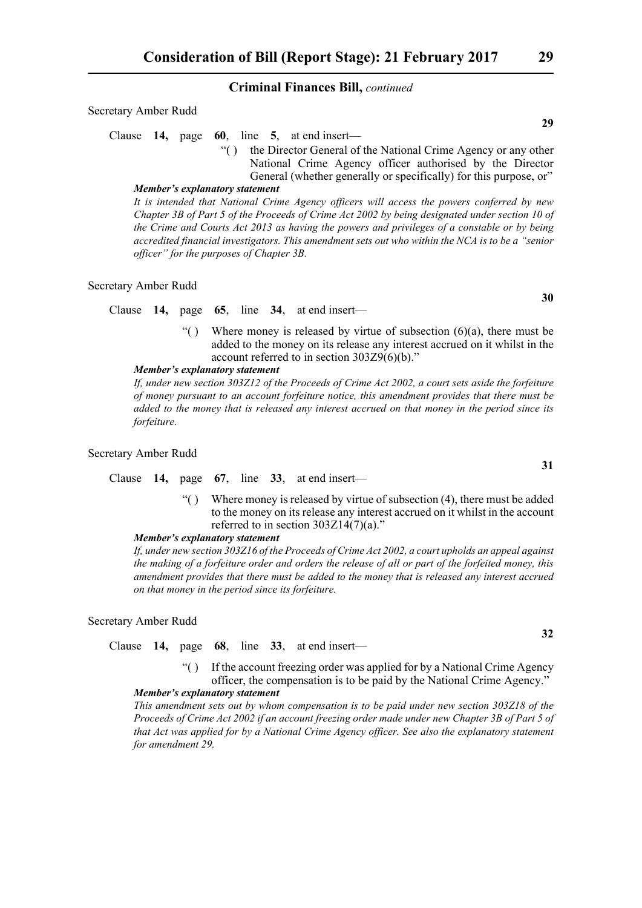|  |  |  | Clause 14, page 60, line 5, at end insert— |  |                                                                    |  |
|--|--|--|--------------------------------------------|--|--------------------------------------------------------------------|--|
|  |  |  |                                            |  | "() the Director General of the National Crime Agency or any other |  |
|  |  |  |                                            |  | National Crime Agency officer authorised by the Director           |  |
|  |  |  |                                            |  | General (whether generally or specifically) for this purpose, or"  |  |
|  |  |  |                                            |  |                                                                    |  |

#### *Member's explanatory statement*

*It is intended that National Crime Agency officers will access the powers conferred by new Chapter 3B of Part 5 of the Proceeds of Crime Act 2002 by being designated under section 10 of the Crime and Courts Act 2013 as having the powers and privileges of a constable or by being accredited financial investigators. This amendment sets out who within the NCA is to be a "senior officer" for the purposes of Chapter 3B.*

#### Secretary Amber Rudd

Secretary Amber Rudd

Clause **14,** page **65**, line **34**, at end insert—

"() Where money is released by virtue of subsection  $(6)(a)$ , there must be added to the money on its release any interest accrued on it whilst in the account referred to in section 303Z9(6)(b)."

#### *Member's explanatory statement*

*If, under new section 303Z12 of the Proceeds of Crime Act 2002, a court sets aside the forfeiture of money pursuant to an account forfeiture notice, this amendment provides that there must be added to the money that is released any interest accrued on that money in the period since its forfeiture.*

#### Secretary Amber Rudd

Clause **14,** page **67**, line **33**, at end insert—

"( ) Where money is released by virtue of subsection  $(4)$ , there must be added to the money on its release any interest accrued on it whilst in the account referred to in section  $303Z14(7)(a)$ ."

#### *Member's explanatory statement*

*If, under new section 303Z16 of the Proceeds of Crime Act 2002, a court upholds an appeal against the making of a forfeiture order and orders the release of all or part of the forfeited money, this amendment provides that there must be added to the money that is released any interest accrued on that money in the period since its forfeiture.*

#### Secretary Amber Rudd

Clause **14,** page **68**, line **33**, at end insert—

"( ) If the account freezing order was applied for by a National Crime Agency officer, the compensation is to be paid by the National Crime Agency."

#### *Member's explanatory statement*

*This amendment sets out by whom compensation is to be paid under new section 303Z18 of the Proceeds of Crime Act 2002 if an account freezing order made under new Chapter 3B of Part 5 of that Act was applied for by a National Crime Agency officer. See also the explanatory statement for amendment 29.*

**29**

**32**

**31**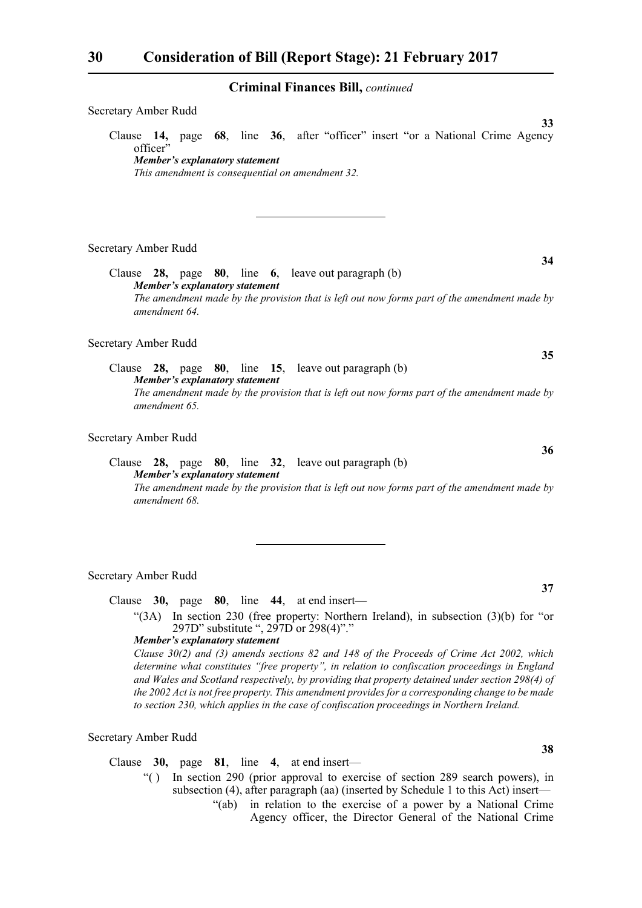| Secretary Amber Rudd                                                                                                                                                                                                                |
|-------------------------------------------------------------------------------------------------------------------------------------------------------------------------------------------------------------------------------------|
| 33<br>Clause 14, page 68, line 36, after "officer" insert "or a National Crime Agency<br>officer"<br><b>Member's explanatory statement</b><br>This amendment is consequential on amendment 32.                                      |
| Secretary Amber Rudd                                                                                                                                                                                                                |
| 34<br>Clause $28$ , page $80$ , line $6$ , leave out paragraph (b)<br><b>Member's explanatory statement</b><br>The amendment made by the provision that is left out now forms part of the amendment made by                         |
| amendment 64.                                                                                                                                                                                                                       |
| Secretary Amber Rudd<br>35                                                                                                                                                                                                          |
| Clause 28, page 80, line 15, leave out paragraph (b)<br><b>Member's explanatory statement</b><br>The amendment made by the provision that is left out now forms part of the amendment made by<br>amendment 65.                      |
| Secretary Amber Rudd                                                                                                                                                                                                                |
| 36<br>80, line 32, leave out paragraph (b)<br>Clause<br>$28$ , page<br><b>Member's explanatory statement</b><br>The amendment made by the provision that is left out now forms part of the amendment made by<br>amendment 68.       |
|                                                                                                                                                                                                                                     |
| Secretary Amber Rudd<br>37                                                                                                                                                                                                          |
| Clause $30$ , page $80$ , line $44$ , at end insert—                                                                                                                                                                                |
| "(3A) In section 230 (free property: Northern Ireland), in subsection $(3)(b)$ for "or"<br>297D" substitute ", 297D or 298(4)"."                                                                                                    |
| <b>Member's explanatory statement</b><br>Clause 30(2) and (3) amends sections 82 and 148 of the Proceeds of Crime Act 2002, which<br>determine what constitutes "free property", in relation to confiscation proceedings in England |

*determine what constitutes "free property", in relation to confiscation proceedings in England and Wales and Scotland respectively, by providing that property detained under section 298(4) of the 2002 Act is not free property. This amendment provides for a corresponding change to be made to section 230, which applies in the case of confiscation proceedings in Northern Ireland.*

Secretary Amber Rudd

Clause **30,** page **81**, line **4**, at end insert—

- "( ) In section 290 (prior approval to exercise of section 289 search powers), in subsection (4), after paragraph (aa) (inserted by Schedule 1 to this Act) insert—
	- "(ab) in relation to the exercise of a power by a National Crime Agency officer, the Director General of the National Crime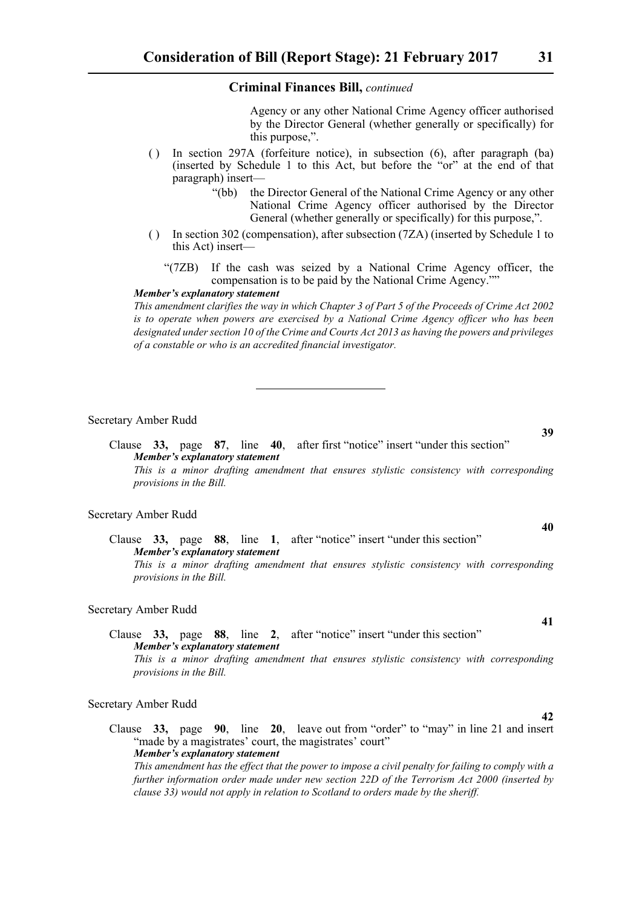Agency or any other National Crime Agency officer authorised by the Director General (whether generally or specifically) for this purpose,".

- ( ) In section 297A (forfeiture notice), in subsection (6), after paragraph (ba) (inserted by Schedule 1 to this Act, but before the "or" at the end of that paragraph) insert—
	- "(bb) the Director General of the National Crime Agency or any other National Crime Agency officer authorised by the Director General (whether generally or specifically) for this purpose,".
- ( ) In section 302 (compensation), after subsection (7ZA) (inserted by Schedule 1 to this Act) insert—
	- "(7ZB) If the cash was seized by a National Crime Agency officer, the compensation is to be paid by the National Crime Agency.""

#### *Member's explanatory statement*

*This amendment clarifies the way in which Chapter 3 of Part 5 of the Proceeds of Crime Act 2002 is to operate when powers are exercised by a National Crime Agency officer who has been designated under section 10 of the Crime and Courts Act 2013 as having the powers and privileges of a constable or who is an accredited financial investigator.*

#### Secretary Amber Rudd

Clause **33,** page **87**, line **40**, after first "notice" insert "under this section" *Member's explanatory statement This is a minor drafting amendment that ensures stylistic consistency with corresponding provisions in the Bill.*

#### Secretary Amber Rudd

Clause **33,** page **88**, line **1**, after "notice" insert "under this section" *Member's explanatory statement* 

*This is a minor drafting amendment that ensures stylistic consistency with corresponding provisions in the Bill.*

#### Secretary Amber Rudd

#### Clause **33,** page **88**, line **2**, after "notice" insert "under this section" *Member's explanatory statement This is a minor drafting amendment that ensures stylistic consistency with corresponding provisions in the Bill.*

#### Secretary Amber Rudd

Clause **33,** page **90**, line **20**, leave out from "order" to "may" in line 21 and insert "made by a magistrates' court, the magistrates' court" *Member's explanatory statement* 

*This amendment has the effect that the power to impose a civil penalty for failing to comply with a further information order made under new section 22D of the Terrorism Act 2000 (inserted by clause 33) would not apply in relation to Scotland to orders made by the sheriff.*

**39**

## **40**

**41**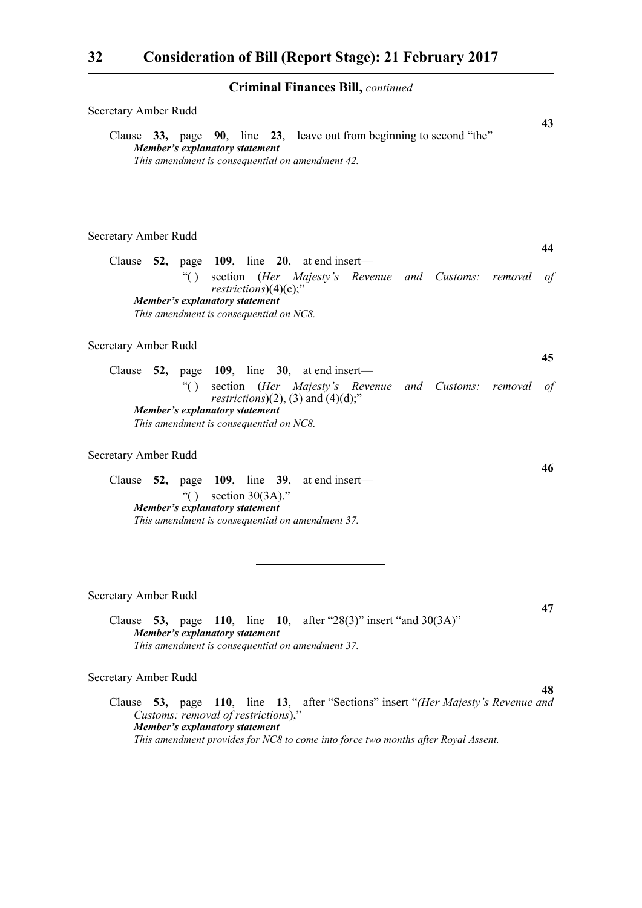| Secretary Amber Rudd                                                                                                                                                                                                                            | 43               |
|-------------------------------------------------------------------------------------------------------------------------------------------------------------------------------------------------------------------------------------------------|------------------|
| Clause 33, page 90, line 23, leave out from beginning to second "the"<br>Member's explanatory statement<br>This amendment is consequential on amendment 42.                                                                                     |                  |
| Secretary Amber Rudd                                                                                                                                                                                                                            |                  |
| Clause $52$ , page 109, line 20, at end insert—<br>section (Her Majesty's Revenue and Customs: removal<br>$\lq( )$<br>$restrictions)(4)(c)$ ;"                                                                                                  | 44<br>$\sigma f$ |
| Member's explanatory statement<br>This amendment is consequential on NC8.                                                                                                                                                                       |                  |
| Secretary Amber Rudd<br>Clause $52$ , page 109, line 30, at end insert—                                                                                                                                                                         | 45               |
| $\lq( )$<br>section (Her Majesty's Revenue and Customs: removal<br><i>restrictions</i> $)(2)$ , $(3)$ and $(4)(d)$ ;"                                                                                                                           | $\sigma f$       |
| Member's explanatory statement<br>This amendment is consequential on NC8.                                                                                                                                                                       |                  |
| Secretary Amber Rudd                                                                                                                                                                                                                            | 46               |
| Clause $52$ , page 109, line 39, at end insert—<br>section $30(3A)$ ."<br>$\lq( )$<br>Member's explanatory statement<br>This amendment is consequential on amendment 37.                                                                        |                  |
| Secretary Amber Rudd                                                                                                                                                                                                                            | 47               |
| Clause 53, page 110, line 10, after "28(3)" insert "and $30(3A)$ "<br>Member's explanatory statement<br>This amendment is consequential on amendment 37.                                                                                        |                  |
| Secretary Amber Rudd                                                                                                                                                                                                                            |                  |
| Clause 53, page 110, line 13, after "Sections" insert "(Her Majesty's Revenue and<br>Customs: removal of restrictions),"<br>Member's explanatory statement<br>This amendment provides for NC8 to come into force two months after Royal Assent. | 48               |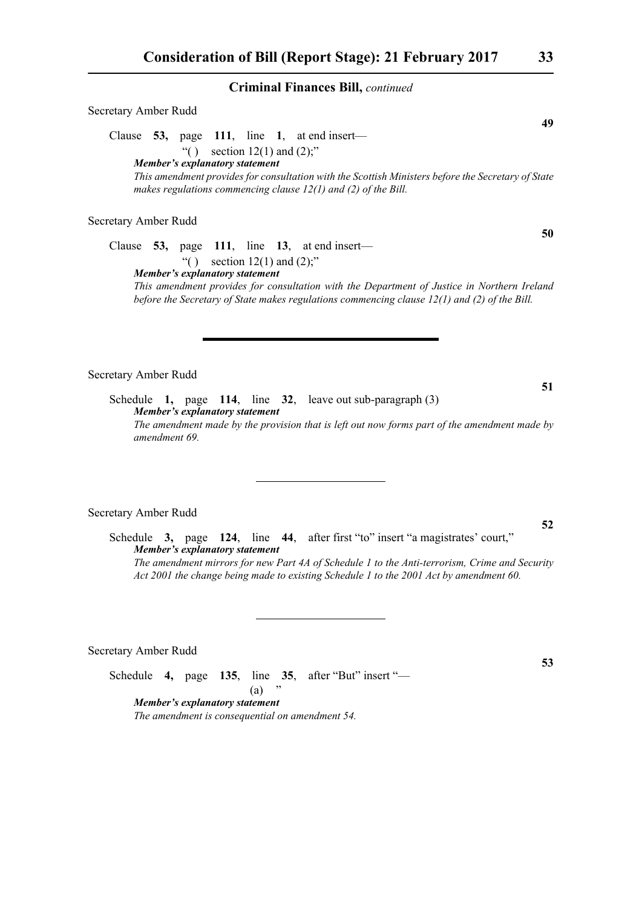Secretary Amber Rudd

Clause **53,** page **111**, line **1**, at end insert—

"( ) section  $12(1)$  and  $(2)$ ;" *Member's explanatory statement This amendment provides for consultation with the Scottish Ministers before the Secretary of State makes regulations commencing clause 12(1) and (2) of the Bill.*

Secretary Amber Rudd

Clause **53,** page **111**, line **13**, at end insert— "() section  $12(1)$  and  $(2)$ ;" *Member's explanatory statement* 

*This amendment provides for consultation with the Department of Justice in Northern Ireland before the Secretary of State makes regulations commencing clause 12(1) and (2) of the Bill.*

Secretary Amber Rudd

Schedule **1,** page **114**, line **32**, leave out sub-paragraph (3) *Member's explanatory statement The amendment made by the provision that is left out now forms part of the amendment made by amendment 69.*

#### Secretary Amber Rudd

Schedule **3,** page **124**, line **44**, after first "to" insert "a magistrates' court," *Member's explanatory statement The amendment mirrors for new Part 4A of Schedule 1 to the Anti-terrorism, Crime and Security Act 2001 the change being made to existing Schedule 1 to the 2001 Act by amendment 60.* 

Secretary Amber Rudd

Schedule **4,** page **135**, line **35**, after "But" insert "—  $(a)$ 

*Member's explanatory statement The amendment is consequential on amendment 54.* **49**

#### **50**

**52**

**51**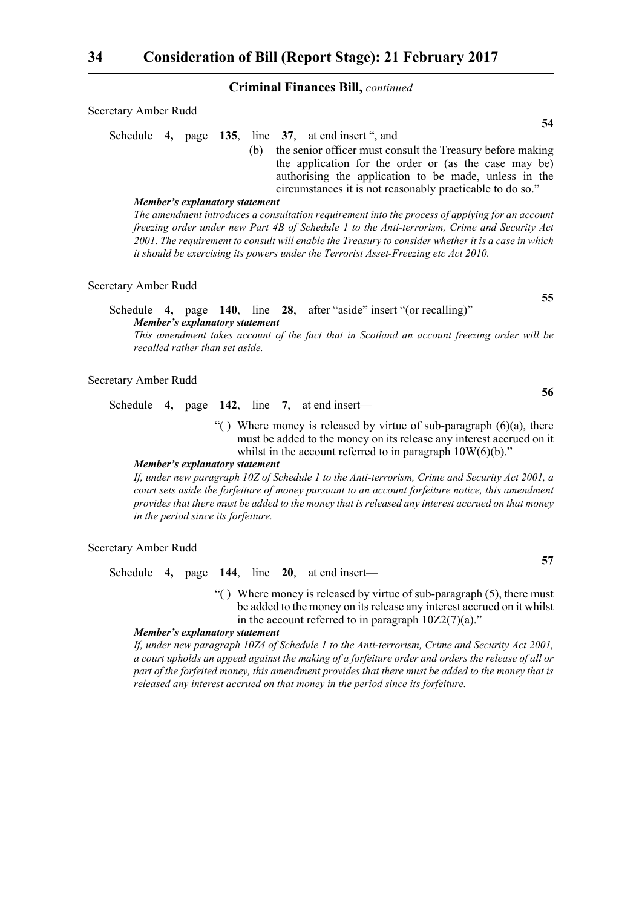| Secretary Amber Rudd                                |  |     |                                                            |  |  | 54 |
|-----------------------------------------------------|--|-----|------------------------------------------------------------|--|--|----|
| Schedule 4, page 135, line 37, at end insert ", and |  |     |                                                            |  |  |    |
|                                                     |  | (h) | the senior officer must consult the Treasury before making |  |  |    |
|                                                     |  |     | the application for the order or (as the case may be)      |  |  |    |
|                                                     |  |     | authorising the application to be made, unless in the      |  |  |    |

circumstances it is not reasonably practicable to do so." *Member's explanatory statement The amendment introduces a consultation requirement into the process of applying for an account freezing order under new Part 4B of Schedule 1 to the Anti-terrorism, Crime and Security Act 2001. The requirement to consult will enable the Treasury to consider whether it is a case in which*

#### Secretary Amber Rudd

Schedule **4,** page **140**, line **28**, after "aside" insert "(or recalling)" *Member's explanatory statement This amendment takes account of the fact that in Scotland an account freezing order will be*

*it should be exercising its powers under the Terrorist Asset-Freezing etc Act 2010.*

*recalled rather than set aside.*

#### Secretary Amber Rudd

Schedule **4,** page **142**, line **7**, at end insert—

"() Where money is released by virtue of sub-paragraph  $(6)(a)$ , there must be added to the money on its release any interest accrued on it whilst in the account referred to in paragraph  $10W(6)(b)$ ."

#### *Member's explanatory statement*

*If, under new paragraph 10Z of Schedule 1 to the Anti-terrorism, Crime and Security Act 2001, a court sets aside the forfeiture of money pursuant to an account forfeiture notice, this amendment provides that there must be added to the money that is released any interest accrued on that money in the period since its forfeiture.*

Secretary Amber Rudd

Schedule **4,** page **144**, line **20**, at end insert—

"() Where money is released by virtue of sub-paragraph  $(5)$ , there must be added to the money on its release any interest accrued on it whilst in the account referred to in paragraph  $10Z2(7)(a)$ ."

#### *Member's explanatory statement*

*If, under new paragraph 10Z4 of Schedule 1 to the Anti-terrorism, Crime and Security Act 2001, a court upholds an appeal against the making of a forfeiture order and orders the release of all or part of the forfeited money, this amendment provides that there must be added to the money that is released any interest accrued on that money in the period since its forfeiture.*

**55**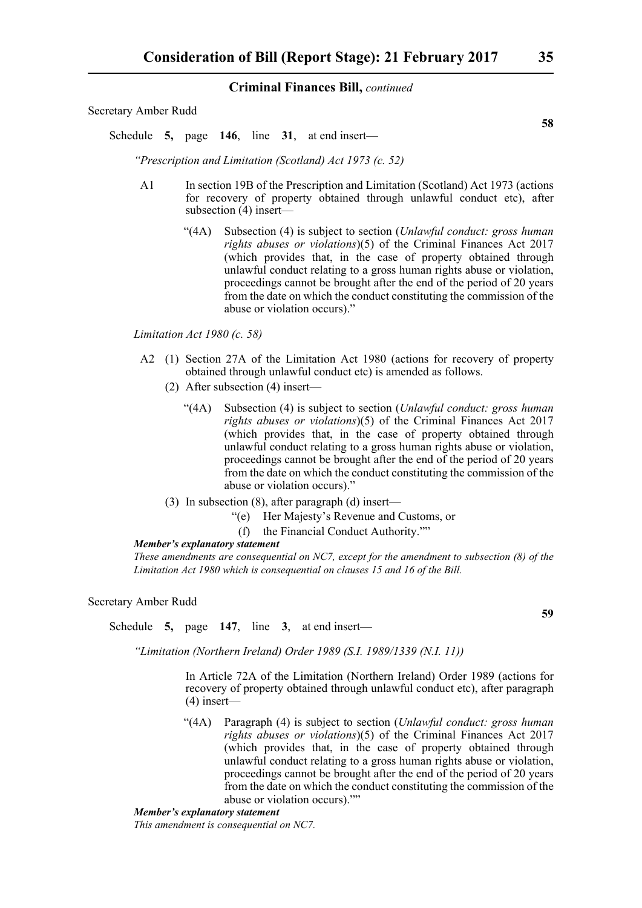Secretary Amber Rudd

Schedule **5,** page **146**, line **31**, at end insert—

*"Prescription and Limitation (Scotland) Act 1973 (c. 52)*

- A1 In section 19B of the Prescription and Limitation (Scotland) Act 1973 (actions for recovery of property obtained through unlawful conduct etc), after subsection  $(4)$  insert—
	- "(4A) Subsection (4) is subject to section (*Unlawful conduct: gross human rights abuses or violations*)(5) of the Criminal Finances Act 2017 (which provides that, in the case of property obtained through unlawful conduct relating to a gross human rights abuse or violation, proceedings cannot be brought after the end of the period of 20 years from the date on which the conduct constituting the commission of the abuse or violation occurs)."

*Limitation Act 1980 (c. 58)*

- A2 (1) Section 27A of the Limitation Act 1980 (actions for recovery of property obtained through unlawful conduct etc) is amended as follows.
	- (2) After subsection (4) insert—
		- "(4A) Subsection (4) is subject to section (*Unlawful conduct: gross human rights abuses or violations*)(5) of the Criminal Finances Act 2017 (which provides that, in the case of property obtained through unlawful conduct relating to a gross human rights abuse or violation, proceedings cannot be brought after the end of the period of 20 years from the date on which the conduct constituting the commission of the abuse or violation occurs)."
	- (3) In subsection (8), after paragraph (d) insert—
		- "(e) Her Majesty's Revenue and Customs, or
		- (f) the Financial Conduct Authority.""

#### *Member's explanatory statement*

*These amendments are consequential on NC7, except for the amendment to subsection (8) of the Limitation Act 1980 which is consequential on clauses 15 and 16 of the Bill.*

Secretary Amber Rudd

Schedule **5,** page **147**, line **3**, at end insert—

*"Limitation (Northern Ireland) Order 1989 (S.I. 1989/1339 (N.I. 11))*

In Article 72A of the Limitation (Northern Ireland) Order 1989 (actions for recovery of property obtained through unlawful conduct etc), after paragraph (4) insert—

"(4A) Paragraph (4) is subject to section (*Unlawful conduct: gross human rights abuses or violations*)(5) of the Criminal Finances Act 2017 (which provides that, in the case of property obtained through unlawful conduct relating to a gross human rights abuse or violation, proceedings cannot be brought after the end of the period of 20 years from the date on which the conduct constituting the commission of the abuse or violation occurs).""

*Member's explanatory statement* 

*This amendment is consequential on NC7.*

**58**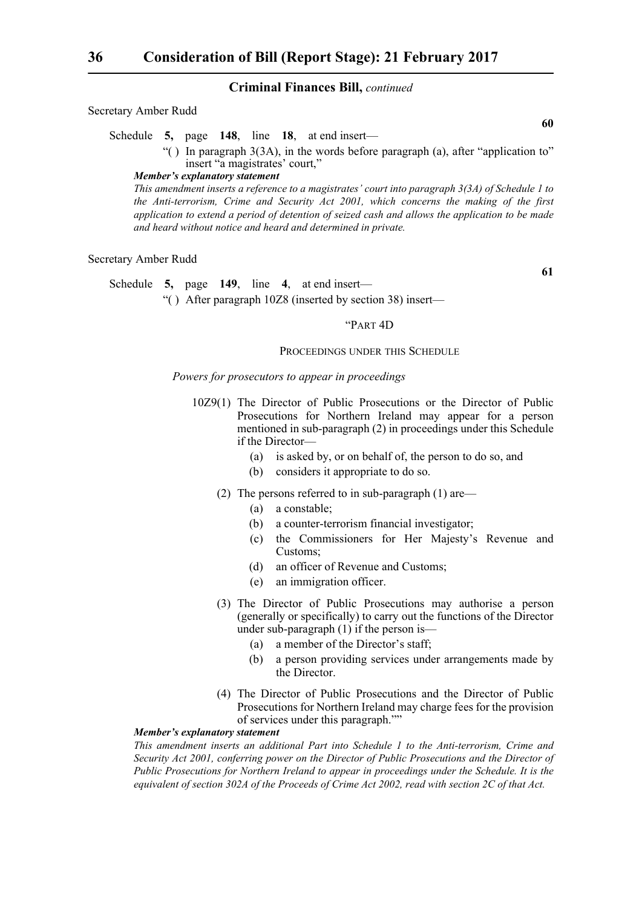#### Secretary Amber Rudd

Schedule **5,** page **148**, line **18**, at end insert—

"( ) In paragraph 3(3A), in the words before paragraph (a), after "application to" insert "a magistrates' court,"

#### *Member's explanatory statement*

*This amendment inserts a reference to a magistrates' court into paragraph 3(3A) of Schedule 1 to the Anti-terrorism, Crime and Security Act 2001, which concerns the making of the first application to extend a period of detention of seized cash and allows the application to be made and heard without notice and heard and determined in private.* 

#### Secretary Amber Rudd

Schedule **5,** page **149**, line **4**, at end insert—

"( ) After paragraph 10Z8 (inserted by section 38) insert—

#### "PART 4D

#### PROCEEDINGS UNDER THIS SCHEDULE

#### *Powers for prosecutors to appear in proceedings*

- 10Z9(1) The Director of Public Prosecutions or the Director of Public Prosecutions for Northern Ireland may appear for a person mentioned in sub-paragraph (2) in proceedings under this Schedule if the Director—
	- (a) is asked by, or on behalf of, the person to do so, and
	- (b) considers it appropriate to do so.
	- (2) The persons referred to in sub-paragraph (1) are—
		- (a) a constable;
		- (b) a counter-terrorism financial investigator;
		- (c) the Commissioners for Her Majesty's Revenue and Customs;
		- (d) an officer of Revenue and Customs;
		- (e) an immigration officer.
	- (3) The Director of Public Prosecutions may authorise a person (generally or specifically) to carry out the functions of the Director under sub-paragraph (1) if the person is—
		- (a) a member of the Director's staff;
		- (b) a person providing services under arrangements made by the Director.
	- (4) The Director of Public Prosecutions and the Director of Public Prosecutions for Northern Ireland may charge fees for the provision of services under this paragraph.""

#### *Member's explanatory statement*

*This amendment inserts an additional Part into Schedule 1 to the Anti-terrorism, Crime and Security Act 2001, conferring power on the Director of Public Prosecutions and the Director of Public Prosecutions for Northern Ireland to appear in proceedings under the Schedule. It is the equivalent of section 302A of the Proceeds of Crime Act 2002, read with section 2C of that Act.*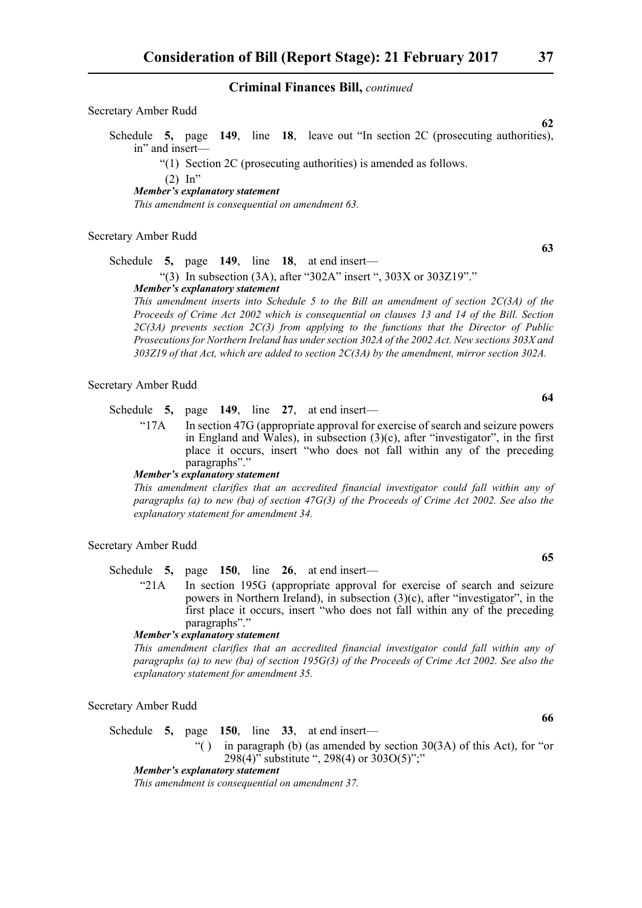Secretary Amber Rudd

Schedule **5,** page **149**, line **18**, leave out "In section 2C (prosecuting authorities), in" and insert—

"(1) Section 2C (prosecuting authorities) is amended as follows.

 $(2)$  In"

*Member's explanatory statement* 

*This amendment is consequential on amendment 63.*

#### Secretary Amber Rudd

Schedule **5,** page **149**, line **18**, at end insert—

"(3) In subsection (3A), after "302A" insert ", 303X or 303Z19"." *Member's explanatory statement* 

*This amendment inserts into Schedule 5 to the Bill an amendment of section 2C(3A) of the Proceeds of Crime Act 2002 which is consequential on clauses 13 and 14 of the Bill. Section 2C(3A) prevents section 2C(3) from applying to the functions that the Director of Public Prosecutions for Northern Ireland has under section 302A of the 2002 Act. New sections 303X and 303Z19 of that Act, which are added to section 2C(3A) by the amendment, mirror section 302A.*

#### Secretary Amber Rudd

Schedule **5,** page **149**, line **27**, at end insert—

"17A In section 47G (appropriate approval for exercise of search and seizure powers in England and Wales), in subsection  $(3)(c)$ , after "investigator", in the first place it occurs, insert "who does not fall within any of the preceding paragraphs"."

#### *Member's explanatory statement*

*This amendment clarifies that an accredited financial investigator could fall within any of paragraphs (a) to new (ba) of section 47G(3) of the Proceeds of Crime Act 2002. See also the explanatory statement for amendment 34.*

Secretary Amber Rudd

Schedule **5,** page **150**, line **26**, at end insert—

"21A In section 195G (appropriate approval for exercise of search and seizure powers in Northern Ireland), in subsection (3)(c), after "investigator", in the first place it occurs, insert "who does not fall within any of the preceding paragraphs"."

#### *Member's explanatory statement*

*This amendment clarifies that an accredited financial investigator could fall within any of paragraphs (a) to new (ba) of section 195G(3) of the Proceeds of Crime Act 2002. See also the explanatory statement for amendment 35.*

Secretary Amber Rudd

Schedule **5,** page **150**, line **33**, at end insert—

"() in paragraph (b) (as amended by section  $30(3A)$  of this Act), for "or 298(4)" substitute ", 298(4) or 303O(5)";"

#### *Member's explanatory statement*

*This amendment is consequential on amendment 37.*

**63**

**65**

**64**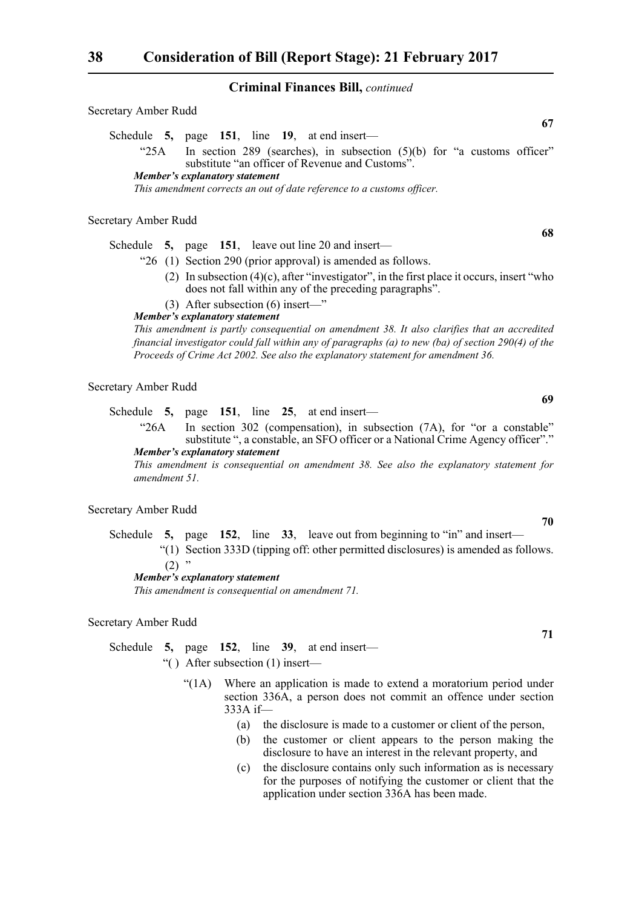#### Secretary Amber Rudd

Schedule **5,** page **151**, line **19**, at end insert—

" $25A$  In section 289 (searches), in subsection  $(5)(b)$  for "a customs officer" substitute "an officer of Revenue and Customs".

#### *Member's explanatory statement*

*This amendment corrects an out of date reference to a customs officer.*

#### Secretary Amber Rudd

Schedule **5,** page **151**, leave out line 20 and insert—

- "26 (1) Section 290 (prior approval) is amended as follows.
	- (2) In subsection (4)(c), after "investigator", in the first place it occurs, insert "who does not fall within any of the preceding paragraphs".
	- (3) After subsection (6) insert—"

#### *Member's explanatory statement*

*This amendment is partly consequential on amendment 38. It also clarifies that an accredited financial investigator could fall within any of paragraphs (a) to new (ba) of section 290(4) of the Proceeds of Crime Act 2002. See also the explanatory statement for amendment 36.*

#### Secretary Amber Rudd

Schedule **5,** page **151**, line **25**, at end insert—

"26A In section 302 (compensation), in subsection (7A), for "or a constable" substitute ", a constable, an SFO officer or a National Crime Agency officer"." *Member's explanatory statement* 

*This amendment is consequential on amendment 38. See also the explanatory statement for amendment 51.*

#### Secretary Amber Rudd

Schedule **5,** page **152**, line **33**, leave out from beginning to "in" and insert— "(1) Section 333D (tipping off: other permitted disclosures) is amended as follows.  $(2)$  "

#### *Member's explanatory statement*

*This amendment is consequential on amendment 71.*

Secretary Amber Rudd

Schedule **5,** page **152**, line **39**, at end insert—

- "( ) After subsection (1) insert—
	- "(1A) Where an application is made to extend a moratorium period under section 336A, a person does not commit an offence under section 333A if—
		- (a) the disclosure is made to a customer or client of the person,
		- (b) the customer or client appears to the person making the disclosure to have an interest in the relevant property, and
		- (c) the disclosure contains only such information as is necessary for the purposes of notifying the customer or client that the application under section 336A has been made.

**67**

**70**

**71**